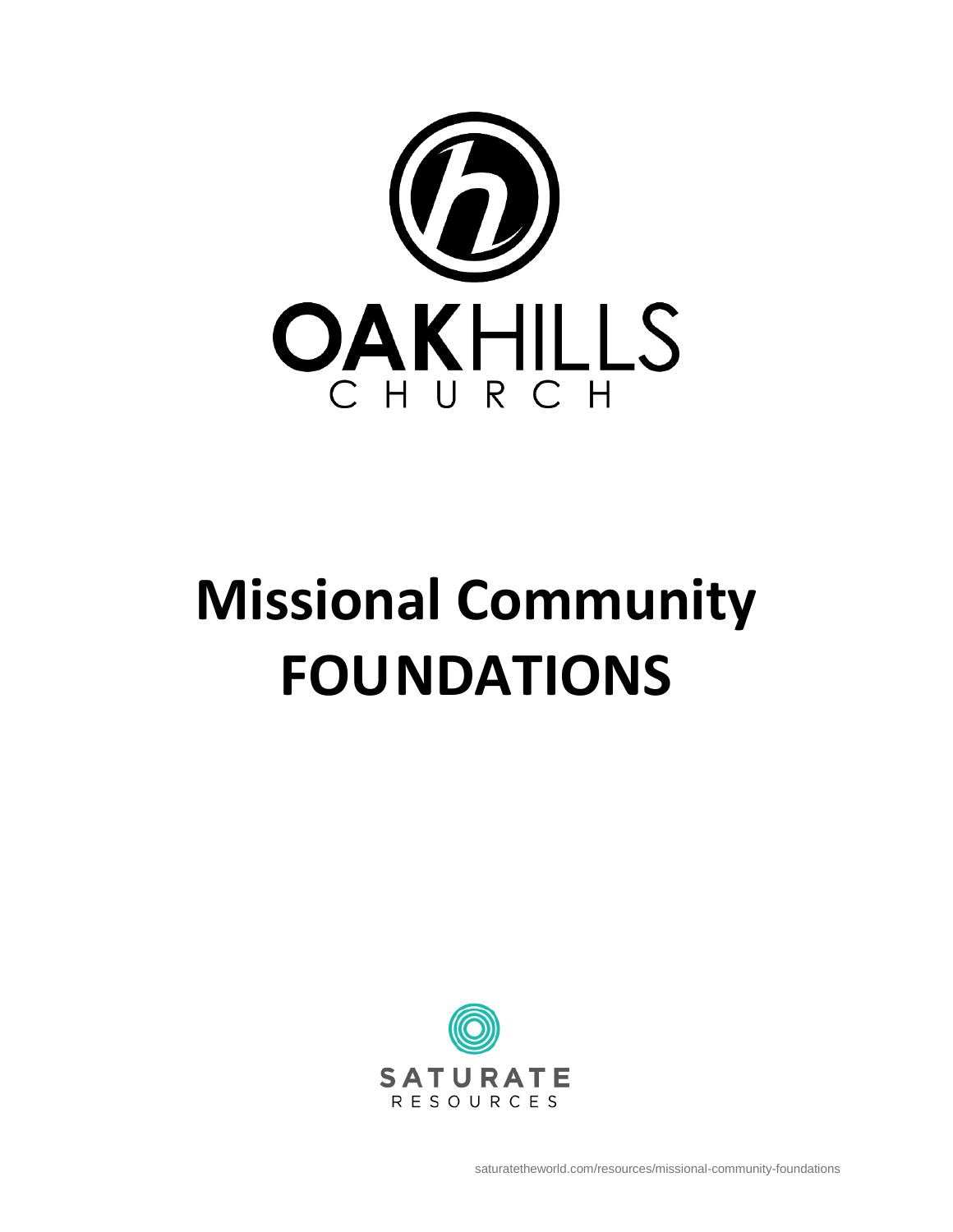

# **Missional Community FOUNDATIONS**

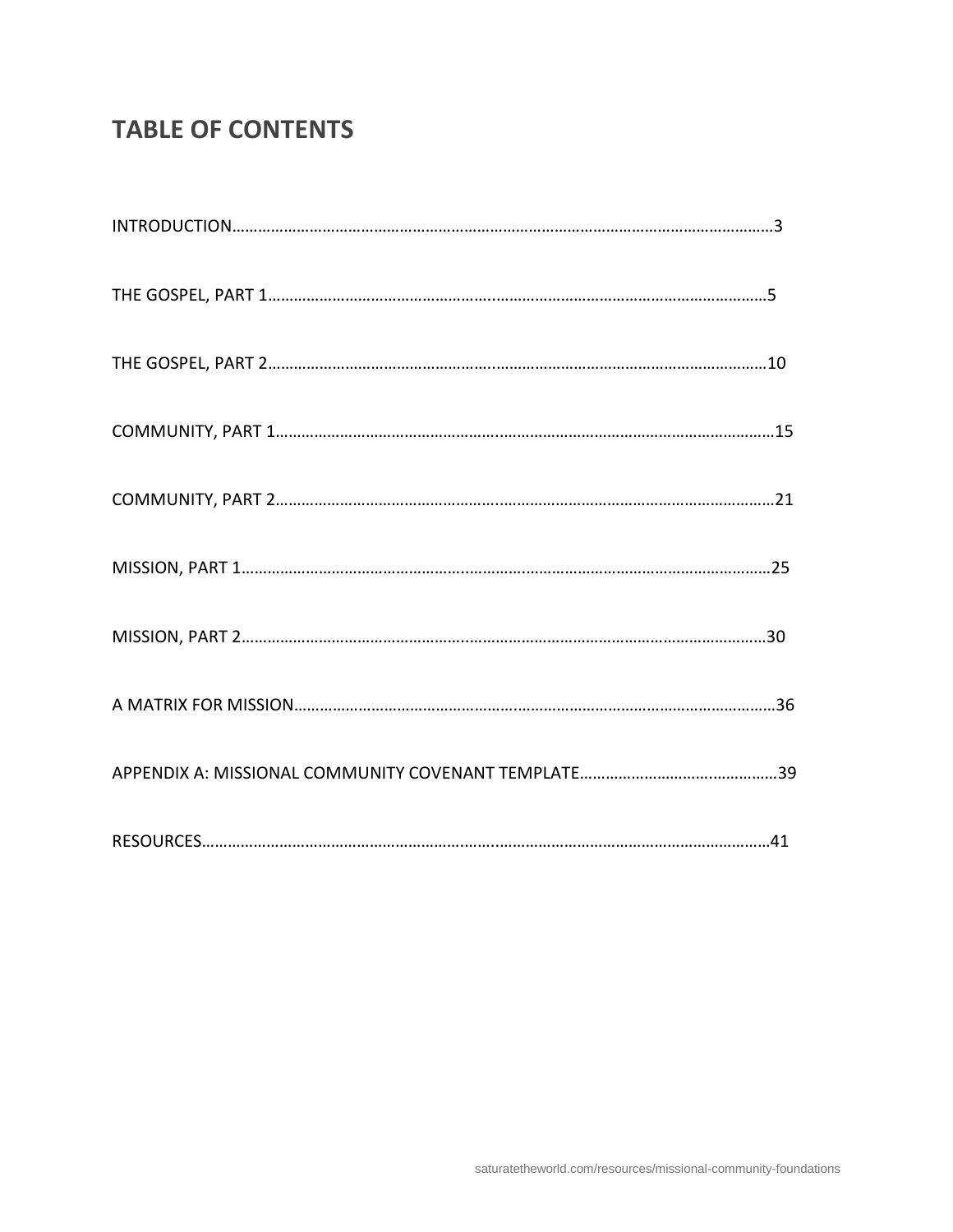# **TABLE OF CONTENTS**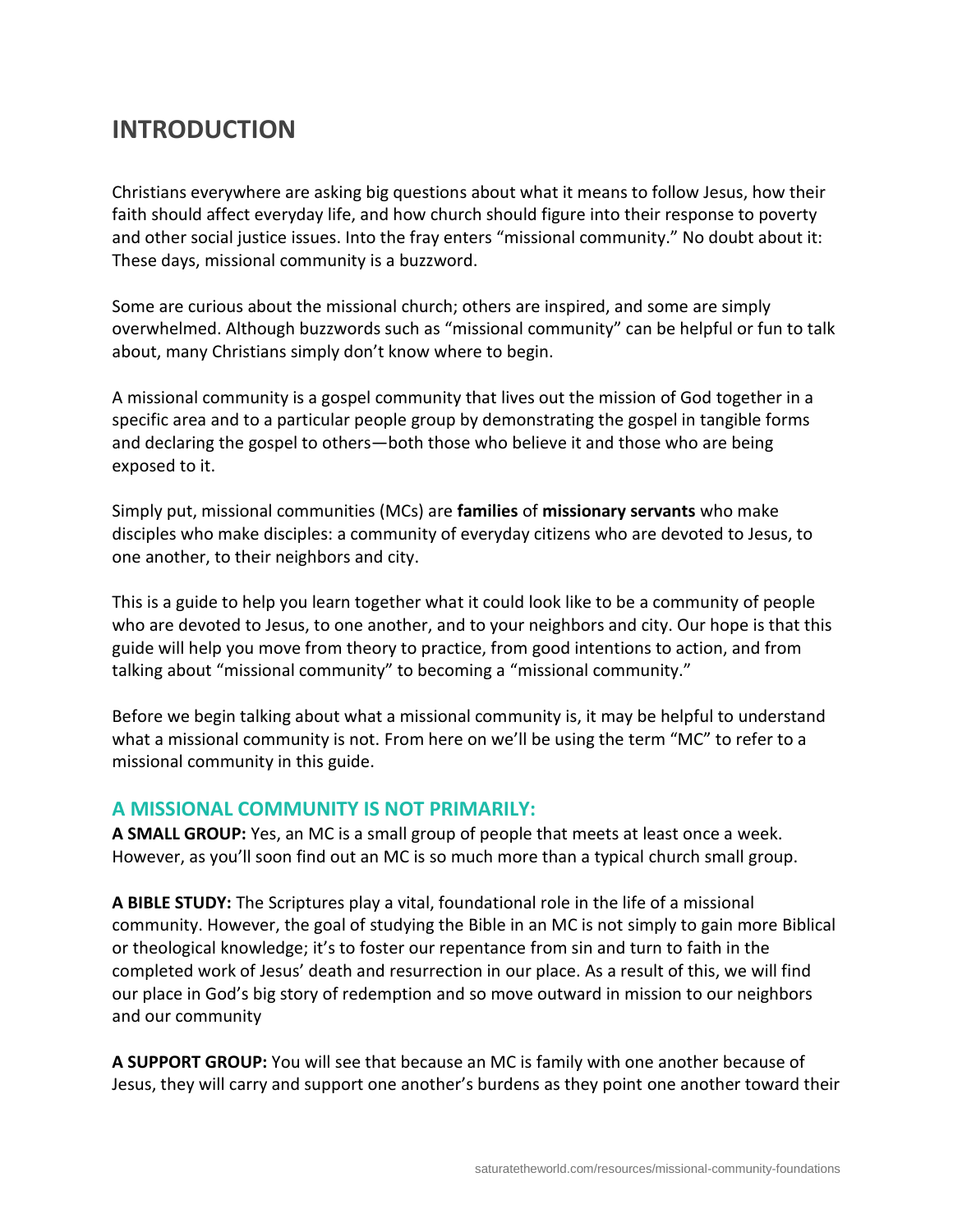# **INTRODUCTION**

Christians everywhere are asking big questions about what it means to follow Jesus, how their faith should affect everyday life, and how church should figure into their response to poverty and other social justice issues. Into the fray enters "missional community." No doubt about it: These days, missional community is a buzzword.

Some are curious about the missional church; others are inspired, and some are simply overwhelmed. Although buzzwords such as "missional community" can be helpful or fun to talk about, many Christians simply don't know where to begin.

A missional community is a gospel community that lives out the mission of God together in a specific area and to a particular people group by demonstrating the gospel in tangible forms and declaring the gospel to others—both those who believe it and those who are being exposed to it.

Simply put, missional communities (MCs) are **families** of **missionary servants** who make disciples who make disciples: a community of everyday citizens who are devoted to Jesus, to one another, to their neighbors and city.

This is a guide to help you learn together what it could look like to be a community of people who are devoted to Jesus, to one another, and to your neighbors and city. Our hope is that this guide will help you move from theory to practice, from good intentions to action, and from talking about "missional community" to becoming a "missional community."

Before we begin talking about what a missional community is, it may be helpful to understand what a missional community is not. From here on we'll be using the term "MC" to refer to a missional community in this guide.

# **A MISSIONAL COMMUNITY IS NOT PRIMARILY:**

**A SMALL GROUP:** Yes, an MC is a small group of people that meets at least once a week. However, as you'll soon find out an MC is so much more than a typical church small group.

**A BIBLE STUDY:** The Scriptures play a vital, foundational role in the life of a missional community. However, the goal of studying the Bible in an MC is not simply to gain more Biblical or theological knowledge; it's to foster our repentance from sin and turn to faith in the completed work of Jesus' death and resurrection in our place. As a result of this, we will find our place in God's big story of redemption and so move outward in mission to our neighbors and our community

**A SUPPORT GROUP:** You will see that because an MC is family with one another because of Jesus, they will carry and support one another's burdens as they point one another toward their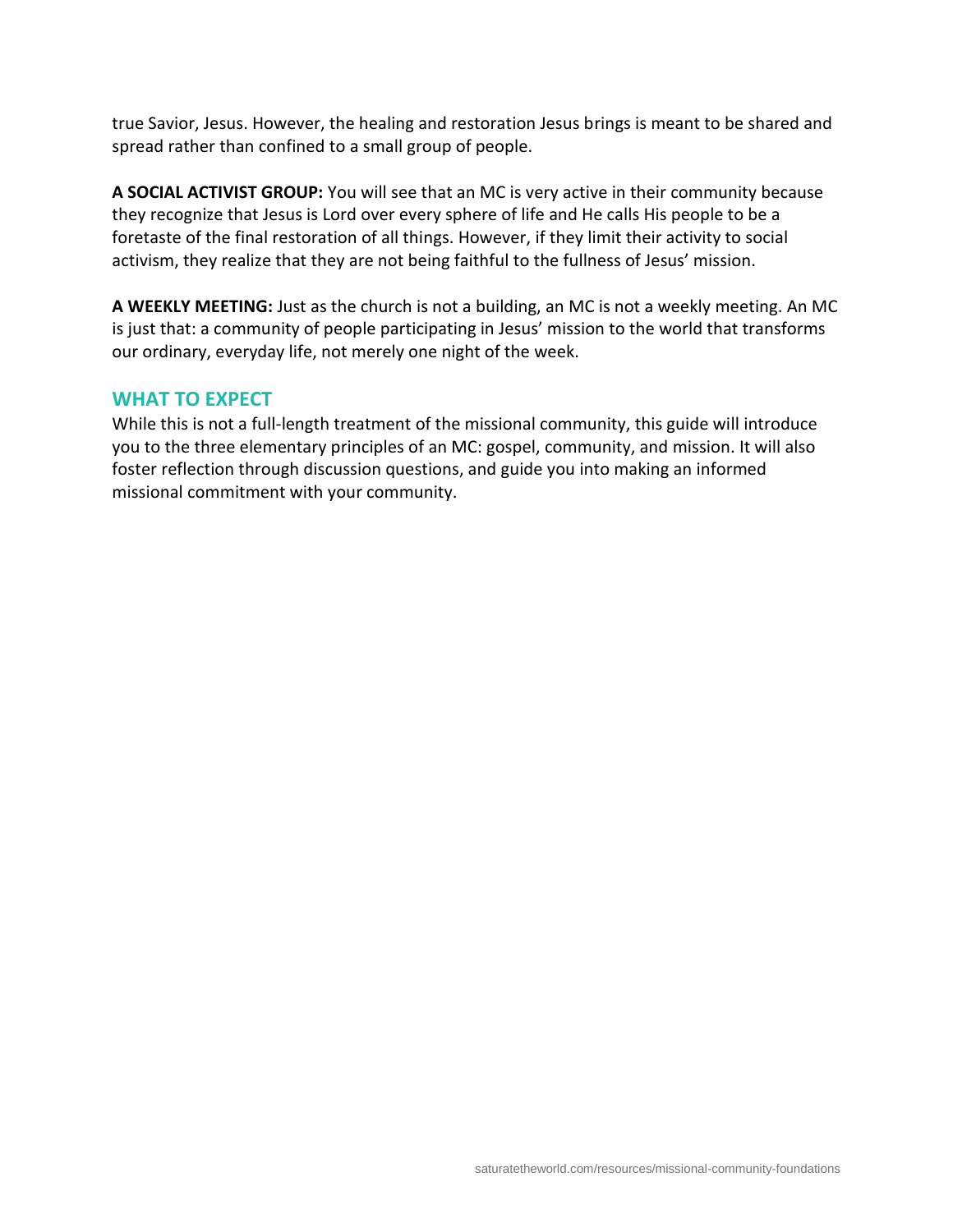true Savior, Jesus. However, the healing and restoration Jesus brings is meant to be shared and spread rather than confined to a small group of people.

**A SOCIAL ACTIVIST GROUP:** You will see that an MC is very active in their community because they recognize that Jesus is Lord over every sphere of life and He calls His people to be a foretaste of the final restoration of all things. However, if they limit their activity to social activism, they realize that they are not being faithful to the fullness of Jesus' mission.

**A WEEKLY MEETING:** Just as the church is not a building, an MC is not a weekly meeting. An MC is just that: a community of people participating in Jesus' mission to the world that transforms our ordinary, everyday life, not merely one night of the week.

## **WHAT TO EXPECT**

While this is not a full-length treatment of the missional community, this guide will introduce you to the three elementary principles of an MC: gospel, community, and mission. It will also foster reflection through discussion questions, and guide you into making an informed missional commitment with your community.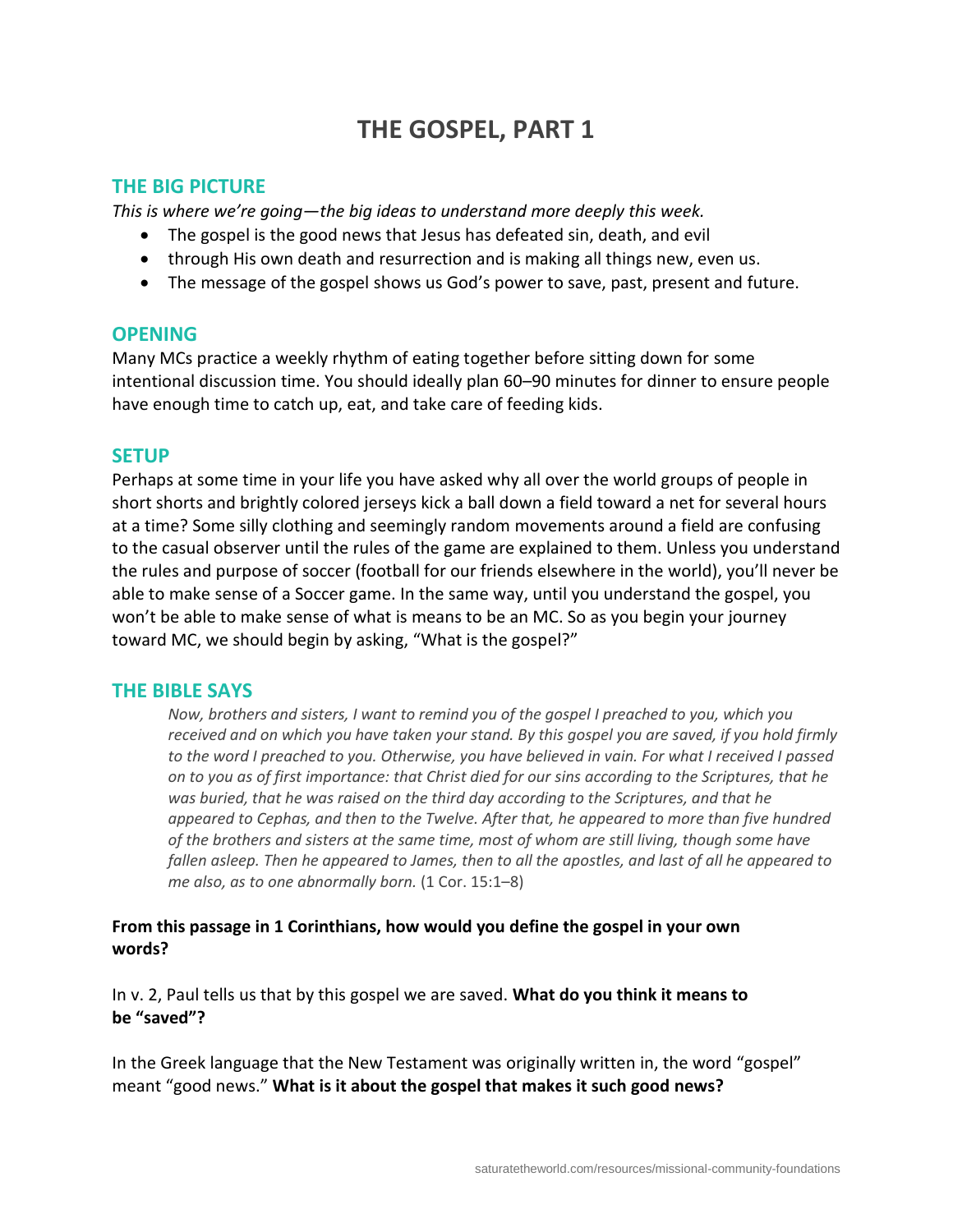# **THE GOSPEL, PART 1**

# **THE BIG PICTURE**

*This is where we're going—the big ideas to understand more deeply this week.*

- The gospel is the good news that Jesus has defeated sin, death, and evil
- through His own death and resurrection and is making all things new, even us.
- The message of the gospel shows us God's power to save, past, present and future.

# **OPENING**

Many MCs practice a weekly rhythm of eating together before sitting down for some intentional discussion time. You should ideally plan 60–90 minutes for dinner to ensure people have enough time to catch up, eat, and take care of feeding kids.

# **SETUP**

Perhaps at some time in your life you have asked why all over the world groups of people in short shorts and brightly colored jerseys kick a ball down a field toward a net for several hours at a time? Some silly clothing and seemingly random movements around a field are confusing to the casual observer until the rules of the game are explained to them. Unless you understand the rules and purpose of soccer (football for our friends elsewhere in the world), you'll never be able to make sense of a Soccer game. In the same way, until you understand the gospel, you won't be able to make sense of what is means to be an MC. So as you begin your journey toward MC, we should begin by asking, "What is the gospel?"

# **THE BIBLE SAYS**

*Now, brothers and sisters, I want to remind you of the gospel I preached to you, which you received and on which you have taken your stand. By this gospel you are saved, if you hold firmly to the word I preached to you. Otherwise, you have believed in vain. For what I received I passed on to you as of first importance: that Christ died for our sins according to the Scriptures, that he was buried, that he was raised on the third day according to the Scriptures, and that he appeared to Cephas, and then to the Twelve. After that, he appeared to more than five hundred of the brothers and sisters at the same time, most of whom are still living, though some have fallen asleep. Then he appeared to James, then to all the apostles, and last of all he appeared to me also, as to one abnormally born.* (1 Cor. 15:1–8)

# **From this passage in 1 Corinthians, how would you define the gospel in your own words?**

In v. 2, Paul tells us that by this gospel we are saved. **What do you think it means to be "saved"?**

In the Greek language that the New Testament was originally written in, the word "gospel" meant "good news." **What is it about the gospel that makes it such good news?**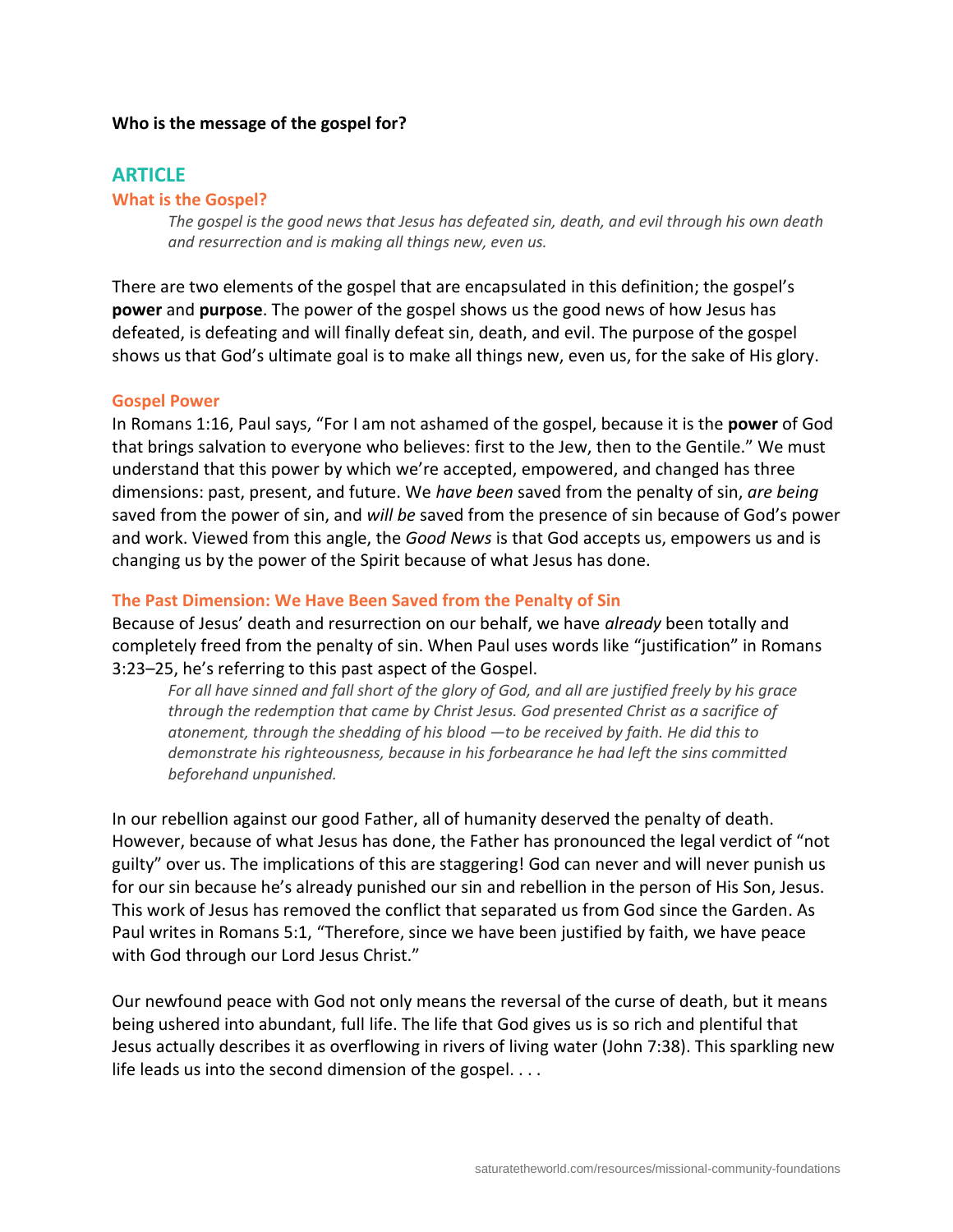#### **Who is the message of the gospel for?**

## **ARTICLE**

#### **What is the Gospel?**

*The gospel is the good news that Jesus has defeated sin, death, and evil through his own death and resurrection and is making all things new, even us.*

There are two elements of the gospel that are encapsulated in this definition; the gospel's **power** and **purpose**. The power of the gospel shows us the good news of how Jesus has defeated, is defeating and will finally defeat sin, death, and evil. The purpose of the gospel shows us that God's ultimate goal is to make all things new, even us, for the sake of His glory.

#### **Gospel Power**

In Romans 1:16, Paul says, "For I am not ashamed of the gospel, because it is the **power** of God that brings salvation to everyone who believes: first to the Jew, then to the Gentile." We must understand that this power by which we're accepted, empowered, and changed has three dimensions: past, present, and future. We *have been* saved from the penalty of sin, *are being*  saved from the power of sin, and *will be* saved from the presence of sin because of God's power and work. Viewed from this angle, the *Good News* is that God accepts us, empowers us and is changing us by the power of the Spirit because of what Jesus has done.

#### **The Past Dimension: We Have Been Saved from the Penalty of Sin**

Because of Jesus' death and resurrection on our behalf, we have *already* been totally and completely freed from the penalty of sin. When Paul uses words like "justification" in Romans 3:23–25, he's referring to this past aspect of the Gospel.

*For all have sinned and fall short of the glory of God, and all are justified freely by his grace through the redemption that came by Christ Jesus. God presented Christ as a sacrifice of atonement, through the shedding of his blood —to be received by faith. He did this to demonstrate his righteousness, because in his forbearance he had left the sins committed beforehand unpunished.*

In our rebellion against our good Father, all of humanity deserved the penalty of death. However, because of what Jesus has done, the Father has pronounced the legal verdict of "not guilty" over us. The implications of this are staggering! God can never and will never punish us for our sin because he's already punished our sin and rebellion in the person of His Son, Jesus. This work of Jesus has removed the conflict that separated us from God since the Garden. As Paul writes in Romans 5:1, "Therefore, since we have been justified by faith, we have peace with God through our Lord Jesus Christ."

Our newfound peace with God not only means the reversal of the curse of death, but it means being ushered into abundant, full life. The life that God gives us is so rich and plentiful that Jesus actually describes it as overflowing in rivers of living water (John 7:38). This sparkling new life leads us into the second dimension of the gospel. . . .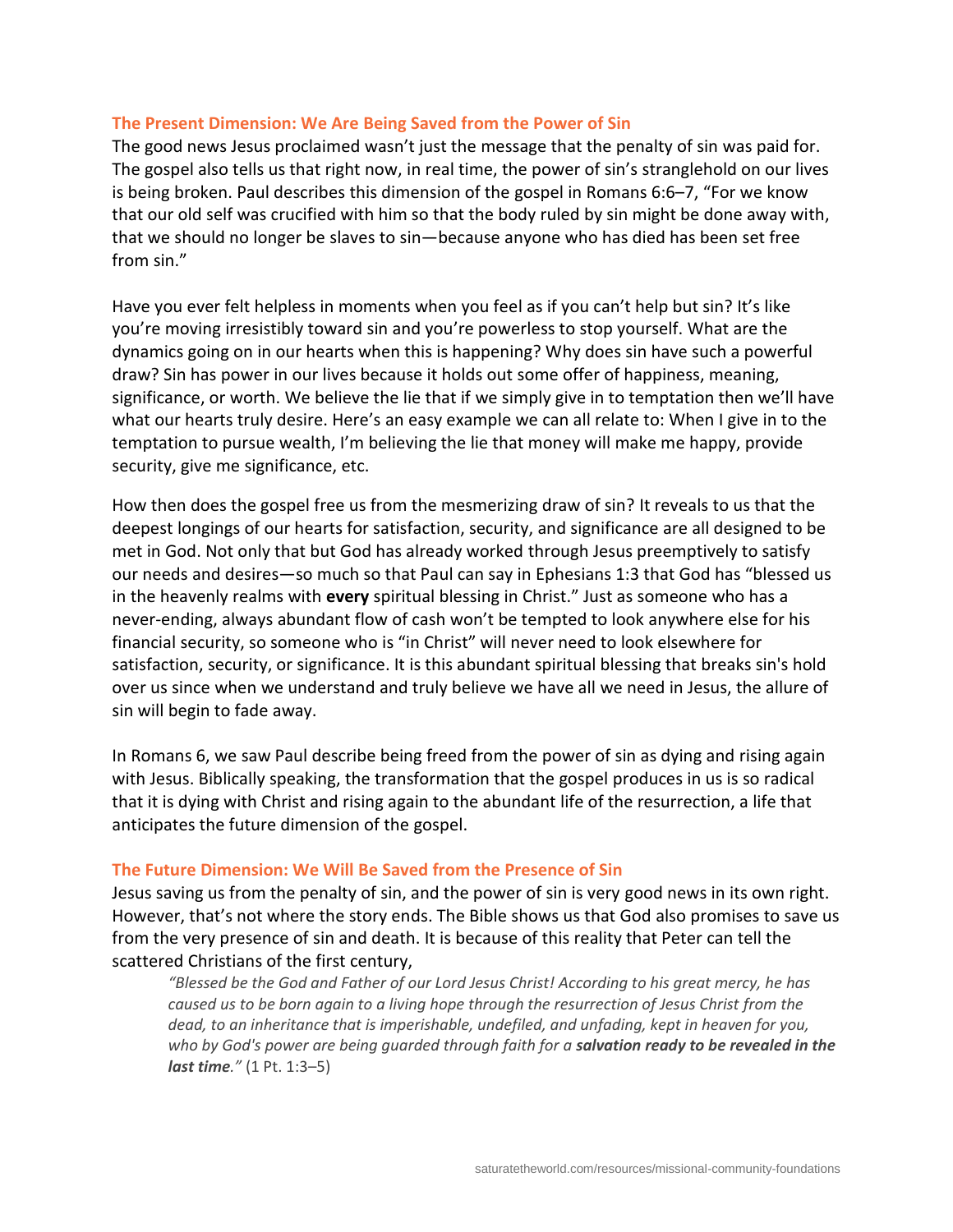#### **The Present Dimension: We Are Being Saved from the Power of Sin**

The good news Jesus proclaimed wasn't just the message that the penalty of sin was paid for. The gospel also tells us that right now, in real time, the power of sin's stranglehold on our lives is being broken. Paul describes this dimension of the gospel in Romans 6:6–7, "For we know that our old self was crucified with him so that the body ruled by sin might be done away with, that we should no longer be slaves to sin—because anyone who has died has been set free from sin."

Have you ever felt helpless in moments when you feel as if you can't help but sin? It's like you're moving irresistibly toward sin and you're powerless to stop yourself. What are the dynamics going on in our hearts when this is happening? Why does sin have such a powerful draw? Sin has power in our lives because it holds out some offer of happiness, meaning, significance, or worth. We believe the lie that if we simply give in to temptation then we'll have what our hearts truly desire. Here's an easy example we can all relate to: When I give in to the temptation to pursue wealth, I'm believing the lie that money will make me happy, provide security, give me significance, etc.

How then does the gospel free us from the mesmerizing draw of sin? It reveals to us that the deepest longings of our hearts for satisfaction, security, and significance are all designed to be met in God. Not only that but God has already worked through Jesus preemptively to satisfy our needs and desires—so much so that Paul can say in Ephesians 1:3 that God has "blessed us in the heavenly realms with **every** spiritual blessing in Christ." Just as someone who has a never-ending, always abundant flow of cash won't be tempted to look anywhere else for his financial security, so someone who is "in Christ" will never need to look elsewhere for satisfaction, security, or significance. It is this abundant spiritual blessing that breaks sin's hold over us since when we understand and truly believe we have all we need in Jesus, the allure of sin will begin to fade away.

In Romans 6, we saw Paul describe being freed from the power of sin as dying and rising again with Jesus. Biblically speaking, the transformation that the gospel produces in us is so radical that it is dying with Christ and rising again to the abundant life of the resurrection, a life that anticipates the future dimension of the gospel.

#### **The Future Dimension: We Will Be Saved from the Presence of Sin**

Jesus saving us from the penalty of sin, and the power of sin is very good news in its own right. However, that's not where the story ends. The Bible shows us that God also promises to save us from the very presence of sin and death. It is because of this reality that Peter can tell the scattered Christians of the first century,

*"Blessed be the God and Father of our Lord Jesus Christ! According to his great mercy, he has caused us to be born again to a living hope through the resurrection of Jesus Christ from the dead, to an inheritance that is imperishable, undefiled, and unfading, kept in heaven for you, who by God's power are being guarded through faith for a salvation ready to be revealed in the last time."* (1 Pt. 1:3–5)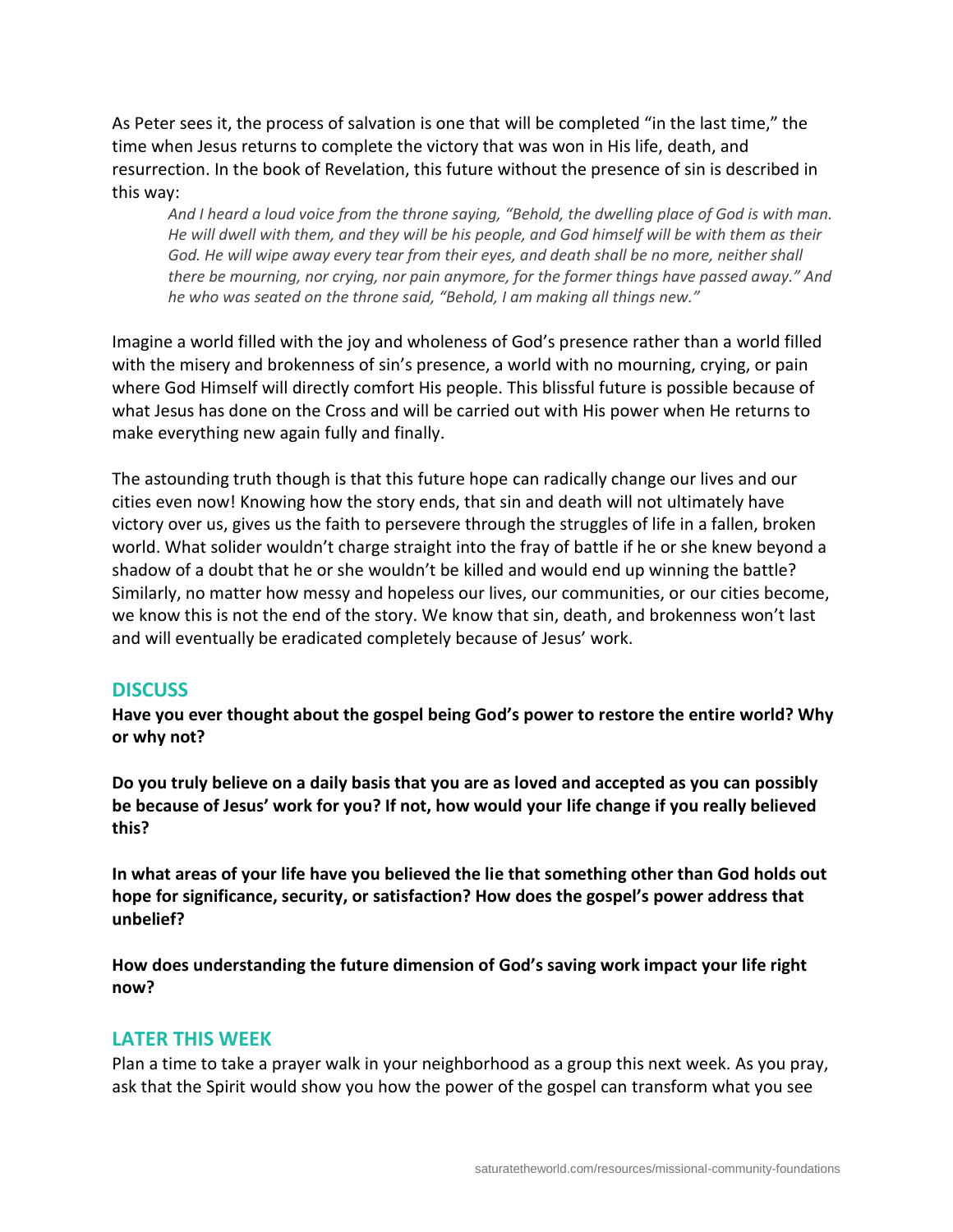As Peter sees it, the process of salvation is one that will be completed "in the last time," the time when Jesus returns to complete the victory that was won in His life, death, and resurrection. In the book of Revelation, this future without the presence of sin is described in this way:

*And I heard a loud voice from the throne saying, "Behold, the dwelling place of God is with man. He will dwell with them, and they will be his people, and God himself will be with them as their God. He will wipe away every tear from their eyes, and death shall be no more, neither shall there be mourning, nor crying, nor pain anymore, for the former things have passed away." And he who was seated on the throne said, "Behold, I am making all things new."*

Imagine a world filled with the joy and wholeness of God's presence rather than a world filled with the misery and brokenness of sin's presence, a world with no mourning, crying, or pain where God Himself will directly comfort His people. This blissful future is possible because of what Jesus has done on the Cross and will be carried out with His power when He returns to make everything new again fully and finally.

The astounding truth though is that this future hope can radically change our lives and our cities even now! Knowing how the story ends, that sin and death will not ultimately have victory over us, gives us the faith to persevere through the struggles of life in a fallen, broken world. What solider wouldn't charge straight into the fray of battle if he or she knew beyond a shadow of a doubt that he or she wouldn't be killed and would end up winning the battle? Similarly, no matter how messy and hopeless our lives, our communities, or our cities become, we know this is not the end of the story. We know that sin, death, and brokenness won't last and will eventually be eradicated completely because of Jesus' work.

# **DISCUSS**

**Have you ever thought about the gospel being God's power to restore the entire world? Why or why not?**

**Do you truly believe on a daily basis that you are as loved and accepted as you can possibly be because of Jesus' work for you? If not, how would your life change if you really believed this?**

**In what areas of your life have you believed the lie that something other than God holds out hope for significance, security, or satisfaction? How does the gospel's power address that unbelief?**

**How does understanding the future dimension of God's saving work impact your life right now?**

#### **LATER THIS WEEK**

Plan a time to take a prayer walk in your neighborhood as a group this next week. As you pray, ask that the Spirit would show you how the power of the gospel can transform what you see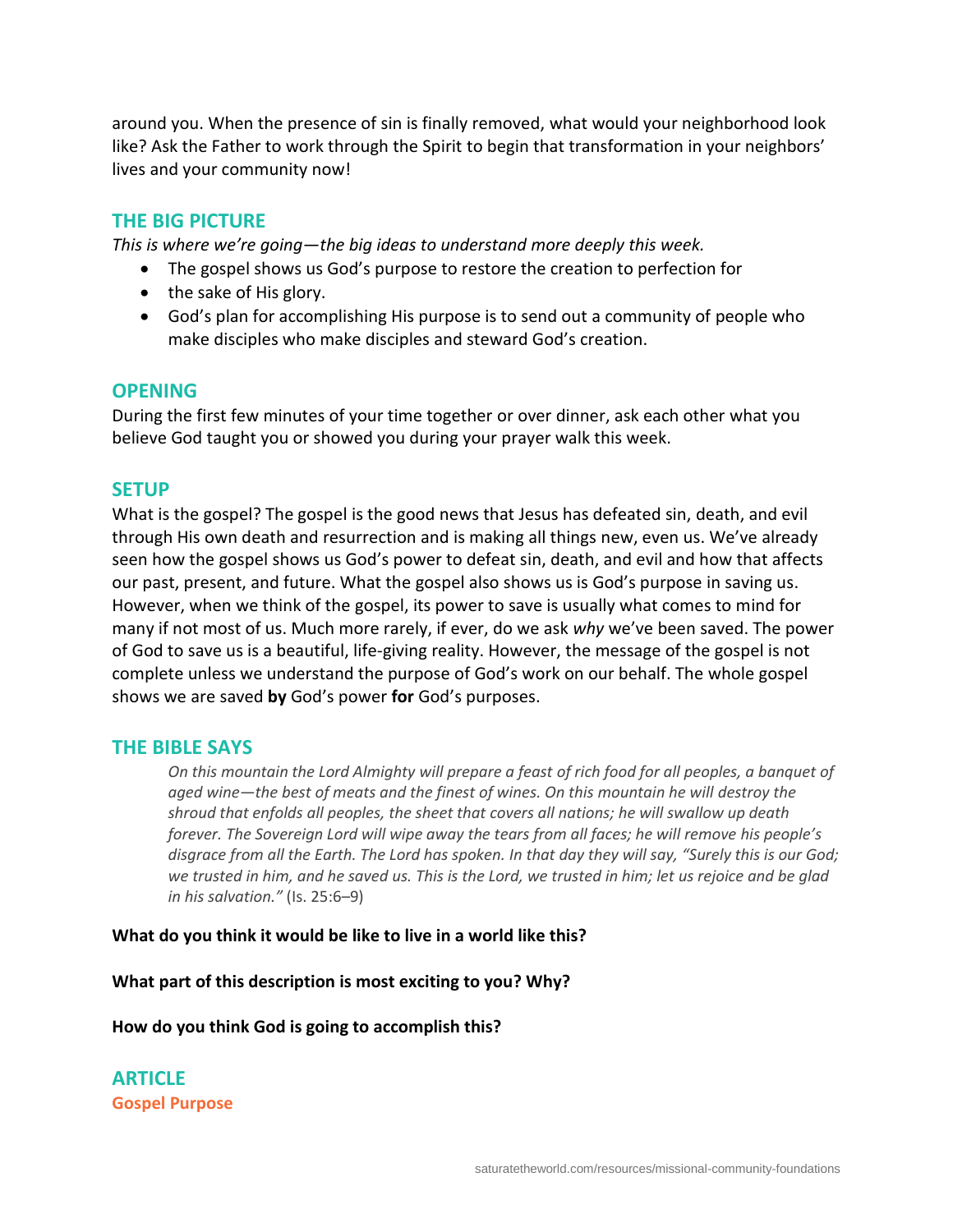around you. When the presence of sin is finally removed, what would your neighborhood look like? Ask the Father to work through the Spirit to begin that transformation in your neighbors' lives and your community now!

# **THE BIG PICTURE**

*This is where we're going—the big ideas to understand more deeply this week.*

- The gospel shows us God's purpose to restore the creation to perfection for
- the sake of His glory.
- God's plan for accomplishing His purpose is to send out a community of people who make disciples who make disciples and steward God's creation.

# **OPENING**

During the first few minutes of your time together or over dinner, ask each other what you believe God taught you or showed you during your prayer walk this week.

# **SETUP**

What is the gospel? The gospel is the good news that Jesus has defeated sin, death, and evil through His own death and resurrection and is making all things new, even us. We've already seen how the gospel shows us God's power to defeat sin, death, and evil and how that affects our past, present, and future. What the gospel also shows us is God's purpose in saving us. However, when we think of the gospel, its power to save is usually what comes to mind for many if not most of us. Much more rarely, if ever, do we ask *why* we've been saved. The power of God to save us is a beautiful, life-giving reality. However, the message of the gospel is not complete unless we understand the purpose of God's work on our behalf. The whole gospel shows we are saved **by** God's power **for** God's purposes.

#### **THE BIBLE SAYS**

*On this mountain the Lord Almighty will prepare a feast of rich food for all peoples, a banquet of aged wine—the best of meats and the finest of wines. On this mountain he will destroy the shroud that enfolds all peoples, the sheet that covers all nations; he will swallow up death forever. The Sovereign Lord will wipe away the tears from all faces; he will remove his people's disgrace from all the Earth. The Lord has spoken. In that day they will say, "Surely this is our God; we trusted in him, and he saved us. This is the Lord, we trusted in him; let us rejoice and be glad in his salvation."* (Is. 25:6–9)

#### **What do you think it would be like to live in a world like this?**

**What part of this description is most exciting to you? Why?**

#### **How do you think God is going to accomplish this?**

**ARTICLE Gospel Purpose**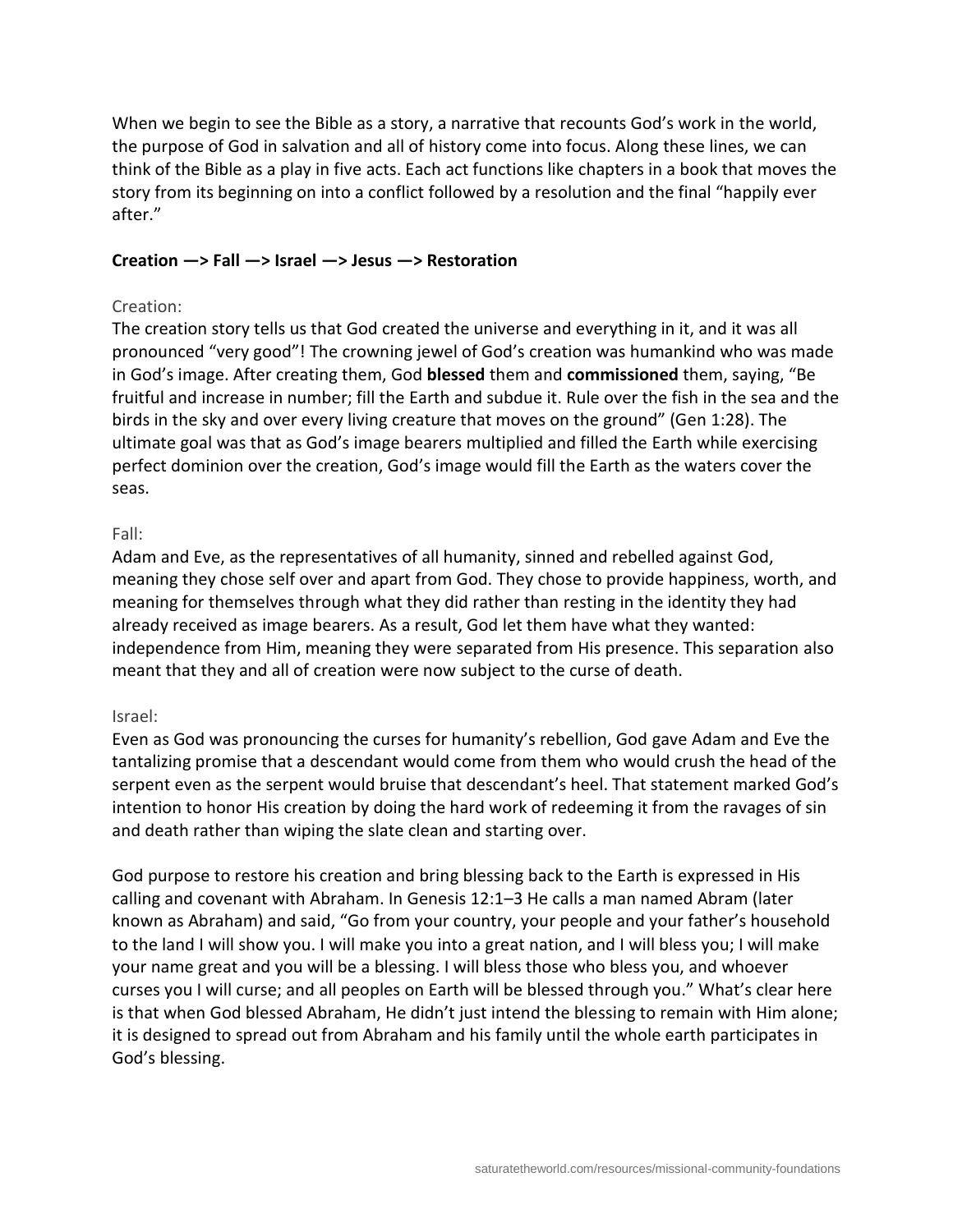When we begin to see the Bible as a story, a narrative that recounts God's work in the world, the purpose of God in salvation and all of history come into focus. Along these lines, we can think of the Bible as a play in five acts. Each act functions like chapters in a book that moves the story from its beginning on into a conflict followed by a resolution and the final "happily ever after."

#### **Creation —> Fall —> Israel —> Jesus —> Restoration**

#### Creation:

The creation story tells us that God created the universe and everything in it, and it was all pronounced "very good"! The crowning jewel of God's creation was humankind who was made in God's image. After creating them, God **blessed** them and **commissioned** them, saying, "Be fruitful and increase in number; fill the Earth and subdue it. Rule over the fish in the sea and the birds in the sky and over every living creature that moves on the ground" (Gen 1:28). The ultimate goal was that as God's image bearers multiplied and filled the Earth while exercising perfect dominion over the creation, God's image would fill the Earth as the waters cover the seas.

#### Fall:

Adam and Eve, as the representatives of all humanity, sinned and rebelled against God, meaning they chose self over and apart from God. They chose to provide happiness, worth, and meaning for themselves through what they did rather than resting in the identity they had already received as image bearers. As a result, God let them have what they wanted: independence from Him, meaning they were separated from His presence. This separation also meant that they and all of creation were now subject to the curse of death.

#### Israel:

Even as God was pronouncing the curses for humanity's rebellion, God gave Adam and Eve the tantalizing promise that a descendant would come from them who would crush the head of the serpent even as the serpent would bruise that descendant's heel. That statement marked God's intention to honor His creation by doing the hard work of redeeming it from the ravages of sin and death rather than wiping the slate clean and starting over.

God purpose to restore his creation and bring blessing back to the Earth is expressed in His calling and covenant with Abraham. In Genesis 12:1–3 He calls a man named Abram (later known as Abraham) and said, "Go from your country, your people and your father's household to the land I will show you. I will make you into a great nation, and I will bless you; I will make your name great and you will be a blessing. I will bless those who bless you, and whoever curses you I will curse; and all peoples on Earth will be blessed through you." What's clear here is that when God blessed Abraham, He didn't just intend the blessing to remain with Him alone; it is designed to spread out from Abraham and his family until the whole earth participates in God's blessing.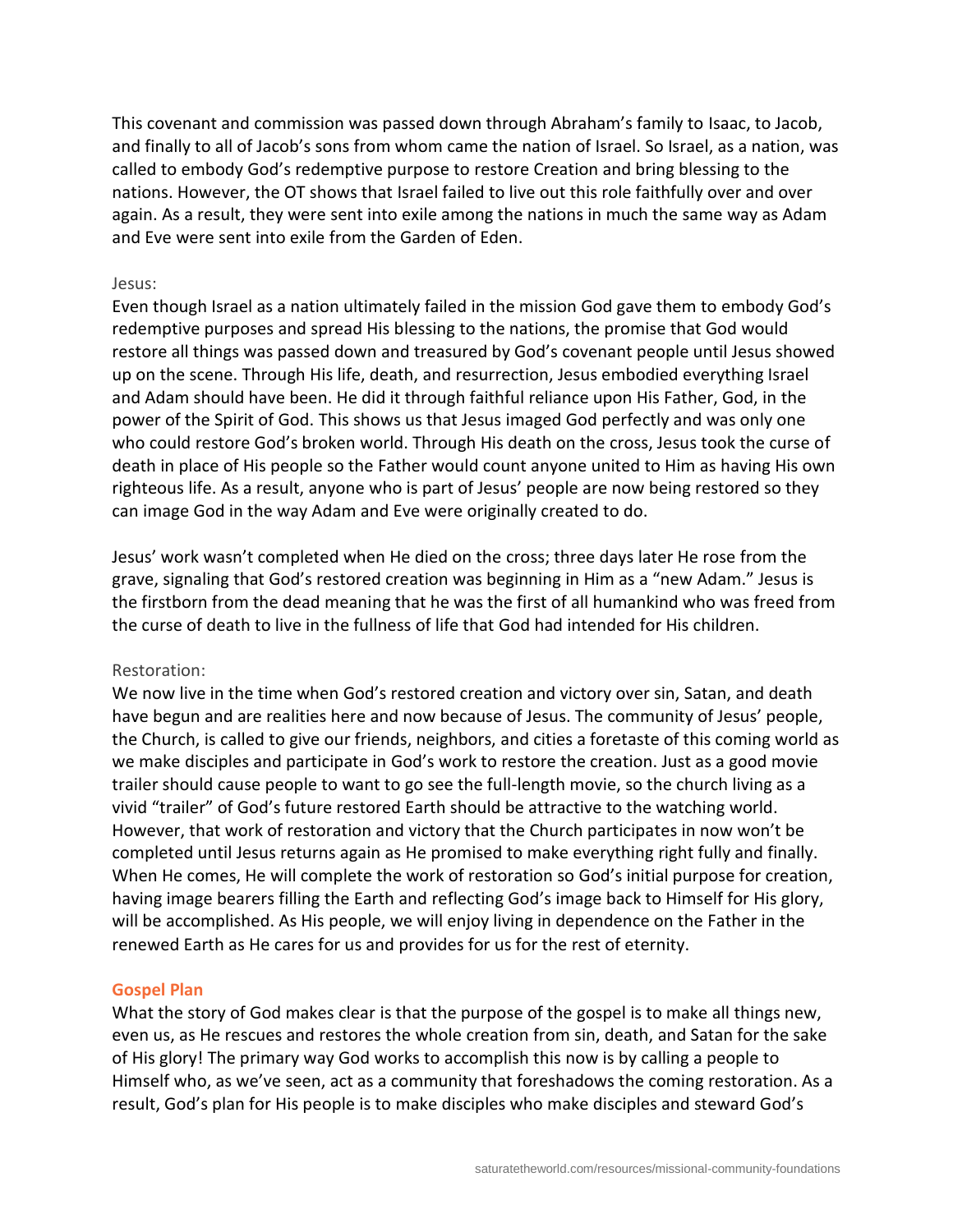This covenant and commission was passed down through Abraham's family to Isaac, to Jacob, and finally to all of Jacob's sons from whom came the nation of Israel. So Israel, as a nation, was called to embody God's redemptive purpose to restore Creation and bring blessing to the nations. However, the OT shows that Israel failed to live out this role faithfully over and over again. As a result, they were sent into exile among the nations in much the same way as Adam and Eve were sent into exile from the Garden of Eden.

#### Jesus:

Even though Israel as a nation ultimately failed in the mission God gave them to embody God's redemptive purposes and spread His blessing to the nations, the promise that God would restore all things was passed down and treasured by God's covenant people until Jesus showed up on the scene. Through His life, death, and resurrection, Jesus embodied everything Israel and Adam should have been. He did it through faithful reliance upon His Father, God, in the power of the Spirit of God. This shows us that Jesus imaged God perfectly and was only one who could restore God's broken world. Through His death on the cross, Jesus took the curse of death in place of His people so the Father would count anyone united to Him as having His own righteous life. As a result, anyone who is part of Jesus' people are now being restored so they can image God in the way Adam and Eve were originally created to do.

Jesus' work wasn't completed when He died on the cross; three days later He rose from the grave, signaling that God's restored creation was beginning in Him as a "new Adam." Jesus is the firstborn from the dead meaning that he was the first of all humankind who was freed from the curse of death to live in the fullness of life that God had intended for His children.

#### Restoration:

We now live in the time when God's restored creation and victory over sin, Satan, and death have begun and are realities here and now because of Jesus. The community of Jesus' people, the Church, is called to give our friends, neighbors, and cities a foretaste of this coming world as we make disciples and participate in God's work to restore the creation. Just as a good movie trailer should cause people to want to go see the full-length movie, so the church living as a vivid "trailer" of God's future restored Earth should be attractive to the watching world. However, that work of restoration and victory that the Church participates in now won't be completed until Jesus returns again as He promised to make everything right fully and finally. When He comes, He will complete the work of restoration so God's initial purpose for creation, having image bearers filling the Earth and reflecting God's image back to Himself for His glory, will be accomplished. As His people, we will enjoy living in dependence on the Father in the renewed Earth as He cares for us and provides for us for the rest of eternity.

#### **Gospel Plan**

What the story of God makes clear is that the purpose of the gospel is to make all things new, even us, as He rescues and restores the whole creation from sin, death, and Satan for the sake of His glory! The primary way God works to accomplish this now is by calling a people to Himself who, as we've seen, act as a community that foreshadows the coming restoration. As a result, God's plan for His people is to make disciples who make disciples and steward God's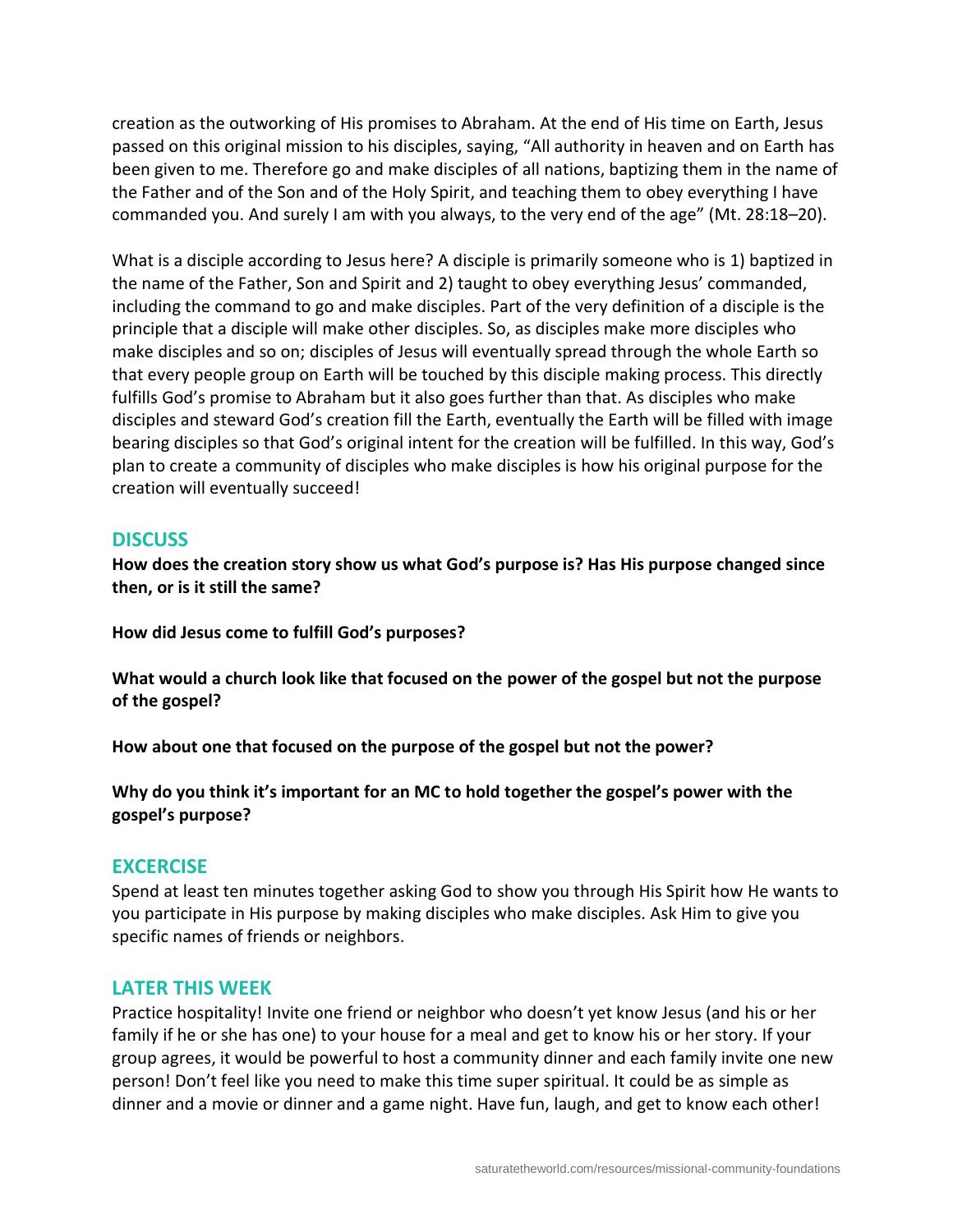creation as the outworking of His promises to Abraham. At the end of His time on Earth, Jesus passed on this original mission to his disciples, saying, "All authority in heaven and on Earth has been given to me. Therefore go and make disciples of all nations, baptizing them in the name of the Father and of the Son and of the Holy Spirit, and teaching them to obey everything I have commanded you. And surely I am with you always, to the very end of the age" (Mt. 28:18–20).

What is a disciple according to Jesus here? A disciple is primarily someone who is 1) baptized in the name of the Father, Son and Spirit and 2) taught to obey everything Jesus' commanded, including the command to go and make disciples. Part of the very definition of a disciple is the principle that a disciple will make other disciples. So, as disciples make more disciples who make disciples and so on; disciples of Jesus will eventually spread through the whole Earth so that every people group on Earth will be touched by this disciple making process. This directly fulfills God's promise to Abraham but it also goes further than that. As disciples who make disciples and steward God's creation fill the Earth, eventually the Earth will be filled with image bearing disciples so that God's original intent for the creation will be fulfilled. In this way, God's plan to create a community of disciples who make disciples is how his original purpose for the creation will eventually succeed!

# **DISCUSS**

**How does the creation story show us what God's purpose is? Has His purpose changed since then, or is it still the same?**

**How did Jesus come to fulfill God's purposes?**

**What would a church look like that focused on the power of the gospel but not the purpose of the gospel?**

**How about one that focused on the purpose of the gospel but not the power?**

**Why do you think it's important for an MC to hold together the gospel's power with the gospel's purpose?**

#### **EXCERCISE**

Spend at least ten minutes together asking God to show you through His Spirit how He wants to you participate in His purpose by making disciples who make disciples. Ask Him to give you specific names of friends or neighbors.

#### **LATER THIS WEEK**

Practice hospitality! Invite one friend or neighbor who doesn't yet know Jesus (and his or her family if he or she has one) to your house for a meal and get to know his or her story. If your group agrees, it would be powerful to host a community dinner and each family invite one new person! Don't feel like you need to make this time super spiritual. It could be as simple as dinner and a movie or dinner and a game night. Have fun, laugh, and get to know each other!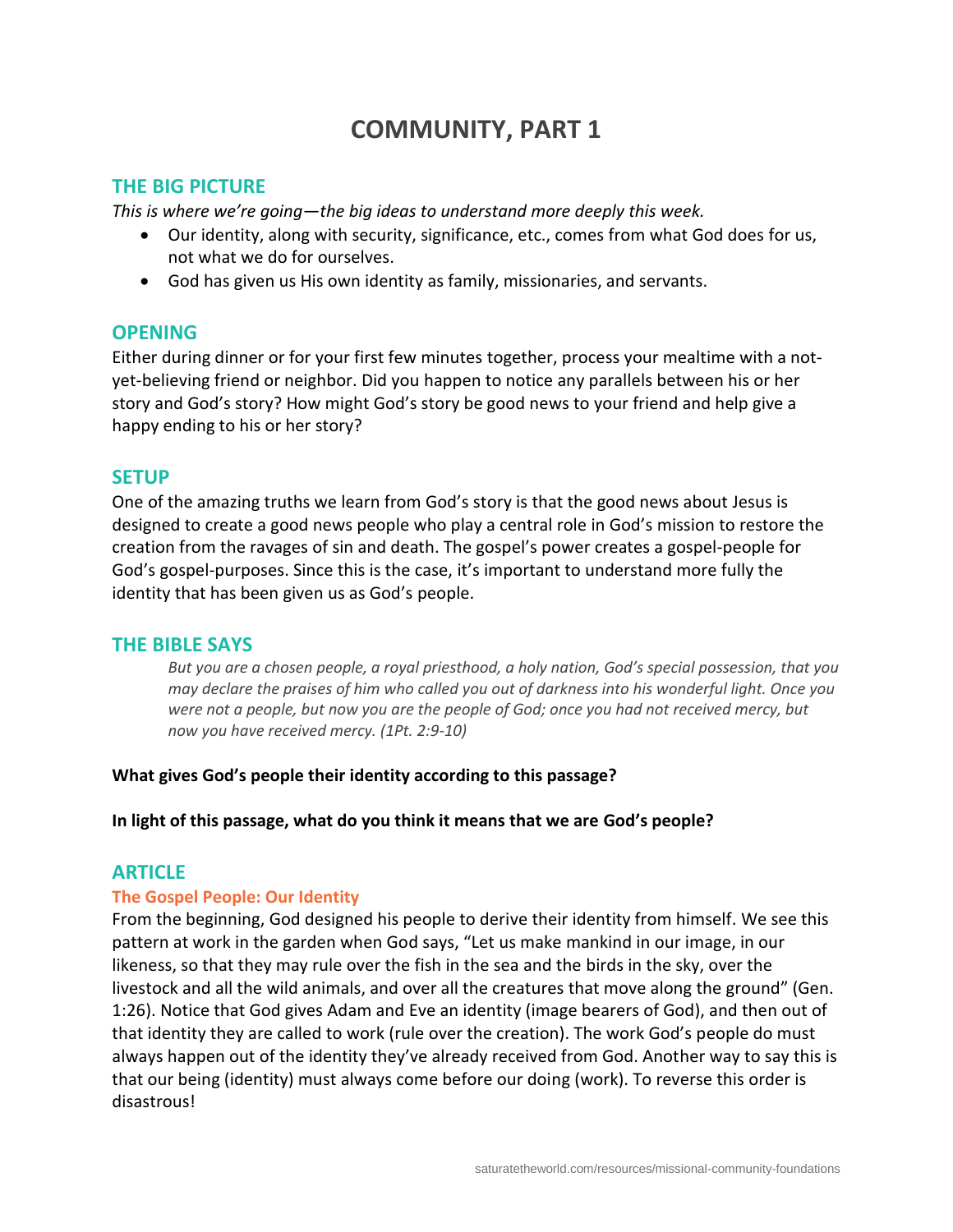# **COMMUNITY, PART 1**

## **THE BIG PICTURE**

*This is where we're going—the big ideas to understand more deeply this week.*

- Our identity, along with security, significance, etc., comes from what God does for us, not what we do for ourselves.
- God has given us His own identity as family, missionaries, and servants.

## **OPENING**

Either during dinner or for your first few minutes together, process your mealtime with a notyet-believing friend or neighbor. Did you happen to notice any parallels between his or her story and God's story? How might God's story be good news to your friend and help give a happy ending to his or her story?

## **SETUP**

One of the amazing truths we learn from God's story is that the good news about Jesus is designed to create a good news people who play a central role in God's mission to restore the creation from the ravages of sin and death. The gospel's power creates a gospel-people for God's gospel-purposes. Since this is the case, it's important to understand more fully the identity that has been given us as God's people.

#### **THE BIBLE SAYS**

*But you are a chosen people, a royal priesthood, a holy nation, God's special possession, that you may declare the praises of him who called you out of darkness into his wonderful light. Once you were not a people, but now you are the people of God; once you had not received mercy, but now you have received mercy. (1Pt. 2:9-10)*

#### **What gives God's people their identity according to this passage?**

#### **In light of this passage, what do you think it means that we are God's people?**

# **ARTICLE**

#### **The Gospel People: Our Identity**

From the beginning, God designed his people to derive their identity from himself. We see this pattern at work in the garden when God says, "Let us make mankind in our image, in our likeness, so that they may rule over the fish in the sea and the birds in the sky, over the livestock and all the wild animals, and over all the creatures that move along the ground" (Gen. 1:26). Notice that God gives Adam and Eve an identity (image bearers of God), and then out of that identity they are called to work (rule over the creation). The work God's people do must always happen out of the identity they've already received from God. Another way to say this is that our being (identity) must always come before our doing (work). To reverse this order is disastrous!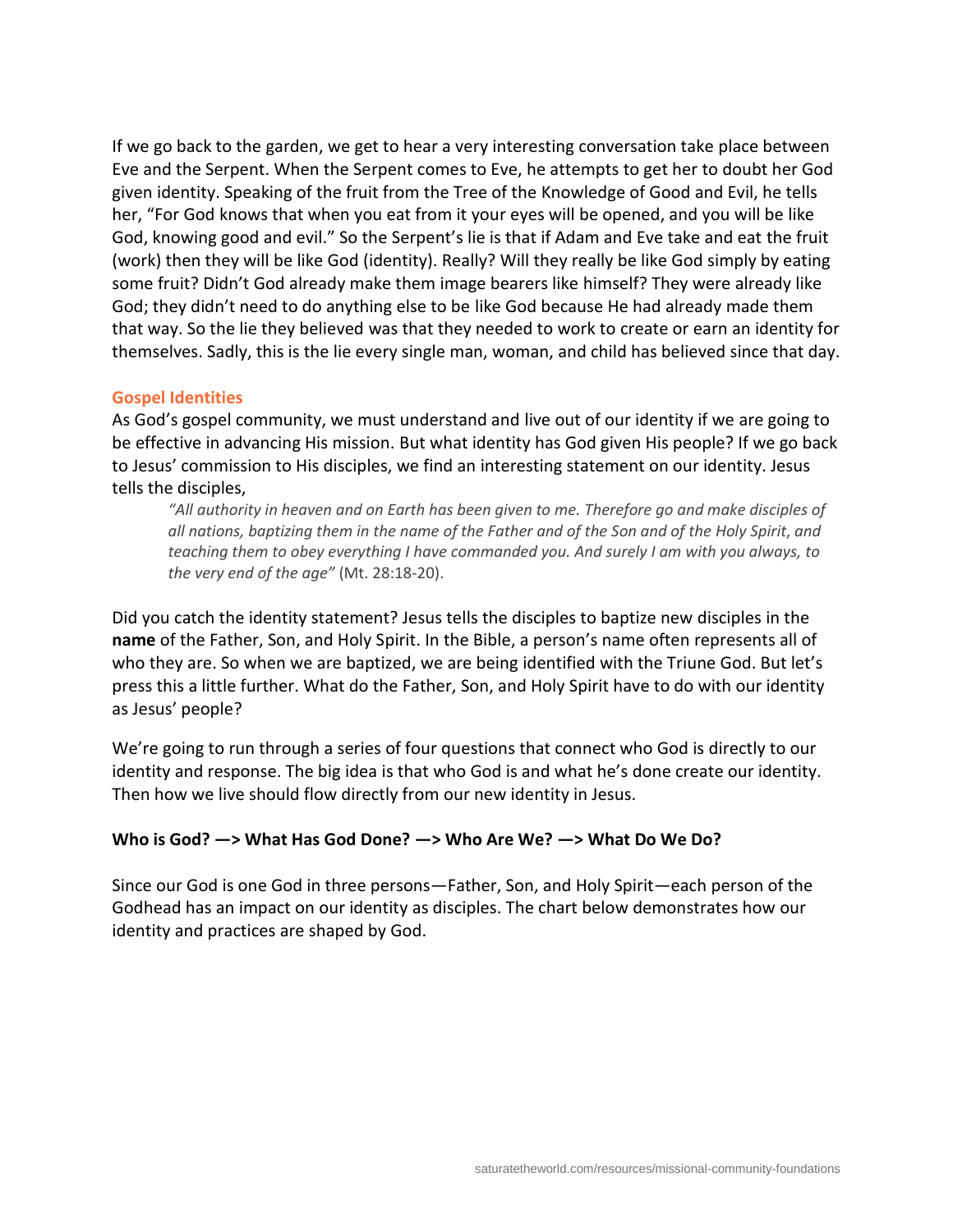If we go back to the garden, we get to hear a very interesting conversation take place between Eve and the Serpent. When the Serpent comes to Eve, he attempts to get her to doubt her God given identity. Speaking of the fruit from the Tree of the Knowledge of Good and Evil, he tells her, "For God knows that when you eat from it your eyes will be opened, and you will be like God, knowing good and evil." So the Serpent's lie is that if Adam and Eve take and eat the fruit (work) then they will be like God (identity). Really? Will they really be like God simply by eating some fruit? Didn't God already make them image bearers like himself? They were already like God; they didn't need to do anything else to be like God because He had already made them that way. So the lie they believed was that they needed to work to create or earn an identity for themselves. Sadly, this is the lie every single man, woman, and child has believed since that day.

## **Gospel Identities**

As God's gospel community, we must understand and live out of our identity if we are going to be effective in advancing His mission. But what identity has God given His people? If we go back to Jesus' commission to His disciples, we find an interesting statement on our identity. Jesus tells the disciples,

*"All authority in heaven and on Earth has been given to me. Therefore go and make disciples of all nations, baptizing them in the name of the Father and of the Son and of the Holy Spirit*, *and teaching them to obey everything I have commanded you. And surely I am with you always, to the very end of the age"* (Mt. 28:18-20).

Did you catch the identity statement? Jesus tells the disciples to baptize new disciples in the **name** of the Father, Son, and Holy Spirit. In the Bible, a person's name often represents all of who they are. So when we are baptized, we are being identified with the Triune God. But let's press this a little further. What do the Father, Son, and Holy Spirit have to do with our identity as Jesus' people?

We're going to run through a series of four questions that connect who God is directly to our identity and response. The big idea is that who God is and what he's done create our identity. Then how we live should flow directly from our new identity in Jesus.

# **Who is God? —> What Has God Done? —> Who Are We? —> What Do We Do?**

Since our God is one God in three persons—Father, Son, and Holy Spirit—each person of the Godhead has an impact on our identity as disciples. The chart below demonstrates how our identity and practices are shaped by God.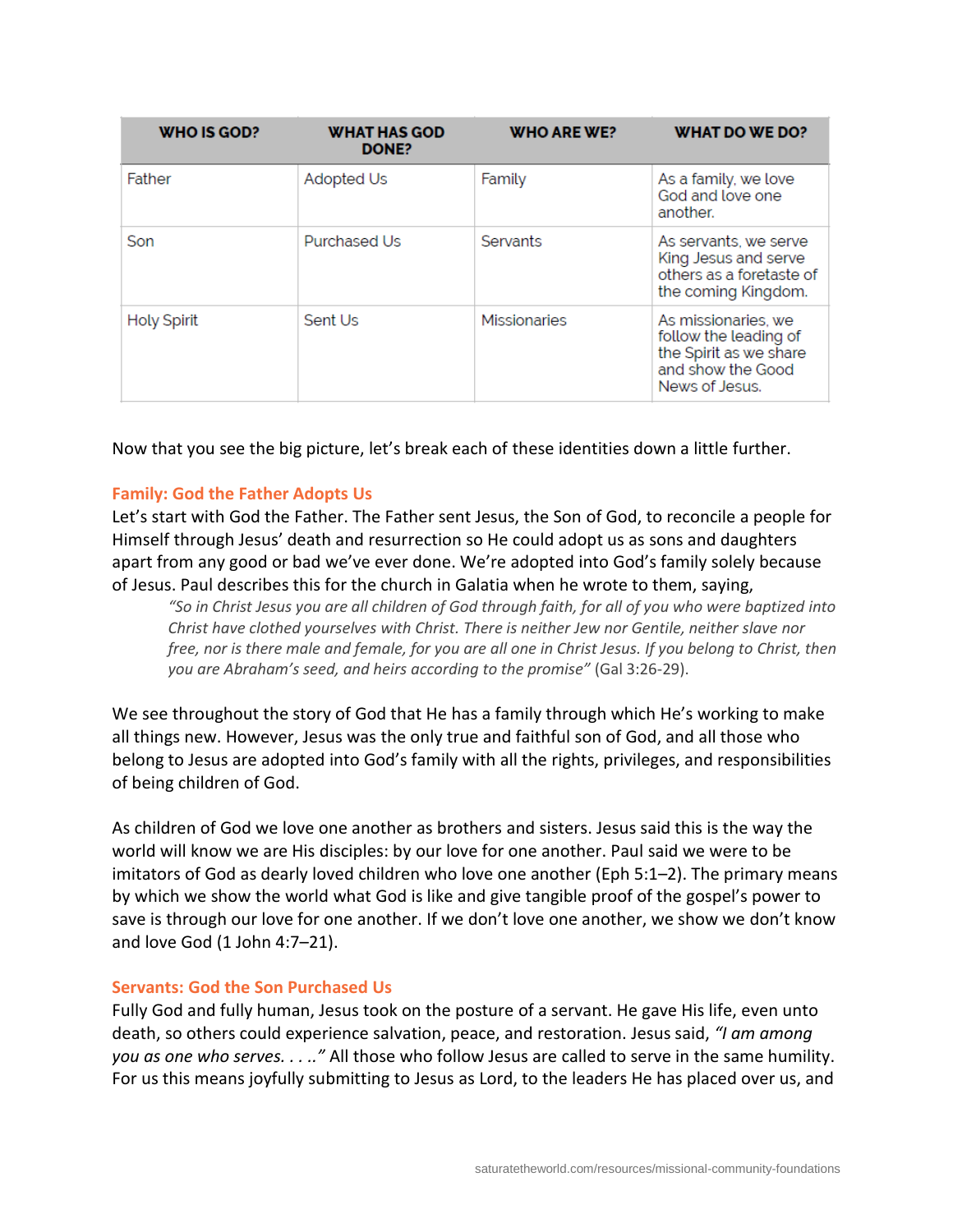| <b>WHO IS GOD?</b> | <b>WHAT HAS GOD</b><br>DONE? | <b>WHO ARE WE?</b>  | WHAT DO WE DO?                                                                                                |
|--------------------|------------------------------|---------------------|---------------------------------------------------------------------------------------------------------------|
| Father             | Adopted Us                   | Family              | As a family, we love<br>God and love one<br>another.                                                          |
| Son                | <b>Purchased Us</b>          | <b>Servants</b>     | As servants, we serve<br>King Jesus and serve<br>others as a foretaste of<br>the coming Kingdom.              |
| <b>Holy Spirit</b> | Sent Us                      | <b>Missionaries</b> | As missionaries, we<br>follow the leading of<br>the Spirit as we share<br>and show the Good<br>News of Jesus. |

Now that you see the big picture, let's break each of these identities down a little further.

#### **Family: God the Father Adopts Us**

Let's start with God the Father. The Father sent Jesus, the Son of God, to reconcile a people for Himself through Jesus' death and resurrection so He could adopt us as sons and daughters apart from any good or bad we've ever done. We're adopted into God's family solely because of Jesus. Paul describes this for the church in Galatia when he wrote to them, saying,

*"So in Christ Jesus you are all children of God through faith, for all of you who were baptized into Christ have clothed yourselves with Christ. There is neither Jew nor Gentile, neither slave nor free, nor is there male and female, for you are all one in Christ Jesus. If you belong to Christ, then you are Abraham's seed, and heirs according to the promise"* (Gal 3:26-29).

We see throughout the story of God that He has a family through which He's working to make all things new. However, Jesus was the only true and faithful son of God, and all those who belong to Jesus are adopted into God's family with all the rights, privileges, and responsibilities of being children of God.

As children of God we love one another as brothers and sisters. Jesus said this is the way the world will know we are His disciples: by our love for one another. Paul said we were to be imitators of God as dearly loved children who love one another (Eph 5:1–2). The primary means by which we show the world what God is like and give tangible proof of the gospel's power to save is through our love for one another. If we don't love one another, we show we don't know and love God (1 John 4:7–21).

#### **Servants: God the Son Purchased Us**

Fully God and fully human, Jesus took on the posture of a servant. He gave His life, even unto death, so others could experience salvation, peace, and restoration. Jesus said, *"I am among you as one who serves. . . .."* All those who follow Jesus are called to serve in the same humility. For us this means joyfully submitting to Jesus as Lord, to the leaders He has placed over us, and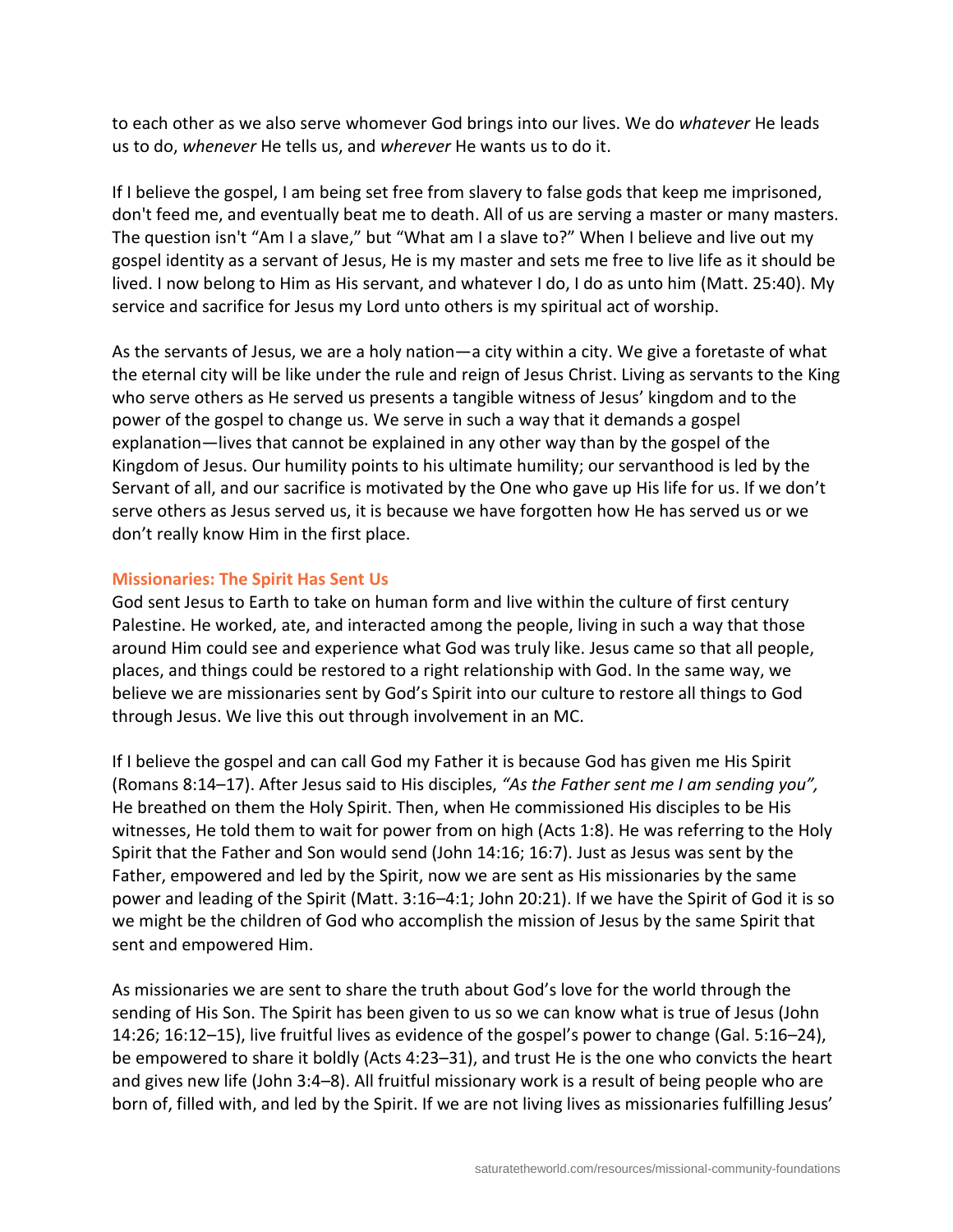to each other as we also serve whomever God brings into our lives. We do *whatever* He leads us to do, *whenever* He tells us, and *wherever* He wants us to do it.

If I believe the gospel, I am being set free from slavery to false gods that keep me imprisoned, don't feed me, and eventually beat me to death. All of us are serving a master or many masters. The question isn't "Am I a slave," but "What am I a slave to?" When I believe and live out my gospel identity as a servant of Jesus, He is my master and sets me free to live life as it should be lived. I now belong to Him as His servant, and whatever I do, I do as unto him (Matt. 25:40). My service and sacrifice for Jesus my Lord unto others is my spiritual act of worship.

As the servants of Jesus, we are a holy nation—a city within a city. We give a foretaste of what the eternal city will be like under the rule and reign of Jesus Christ. Living as servants to the King who serve others as He served us presents a tangible witness of Jesus' kingdom and to the power of the gospel to change us. We serve in such a way that it demands a gospel explanation—lives that cannot be explained in any other way than by the gospel of the Kingdom of Jesus. Our humility points to his ultimate humility; our servanthood is led by the Servant of all, and our sacrifice is motivated by the One who gave up His life for us. If we don't serve others as Jesus served us, it is because we have forgotten how He has served us or we don't really know Him in the first place.

#### **Missionaries: The Spirit Has Sent Us**

God sent Jesus to Earth to take on human form and live within the culture of first century Palestine. He worked, ate, and interacted among the people, living in such a way that those around Him could see and experience what God was truly like. Jesus came so that all people, places, and things could be restored to a right relationship with God. In the same way, we believe we are missionaries sent by God's Spirit into our culture to restore all things to God through Jesus. We live this out through involvement in an MC.

If I believe the gospel and can call God my Father it is because God has given me His Spirit (Romans 8:14–17). After Jesus said to His disciples, *"As the Father sent me I am sending you",*  He breathed on them the Holy Spirit. Then, when He commissioned His disciples to be His witnesses, He told them to wait for power from on high (Acts 1:8). He was referring to the Holy Spirit that the Father and Son would send (John 14:16; 16:7). Just as Jesus was sent by the Father, empowered and led by the Spirit, now we are sent as His missionaries by the same power and leading of the Spirit (Matt. 3:16–4:1; John 20:21). If we have the Spirit of God it is so we might be the children of God who accomplish the mission of Jesus by the same Spirit that sent and empowered Him.

As missionaries we are sent to share the truth about God's love for the world through the sending of His Son. The Spirit has been given to us so we can know what is true of Jesus (John 14:26; 16:12–15), live fruitful lives as evidence of the gospel's power to change (Gal. 5:16–24), be empowered to share it boldly (Acts 4:23–31), and trust He is the one who convicts the heart and gives new life (John 3:4–8). All fruitful missionary work is a result of being people who are born of, filled with, and led by the Spirit. If we are not living lives as missionaries fulfilling Jesus'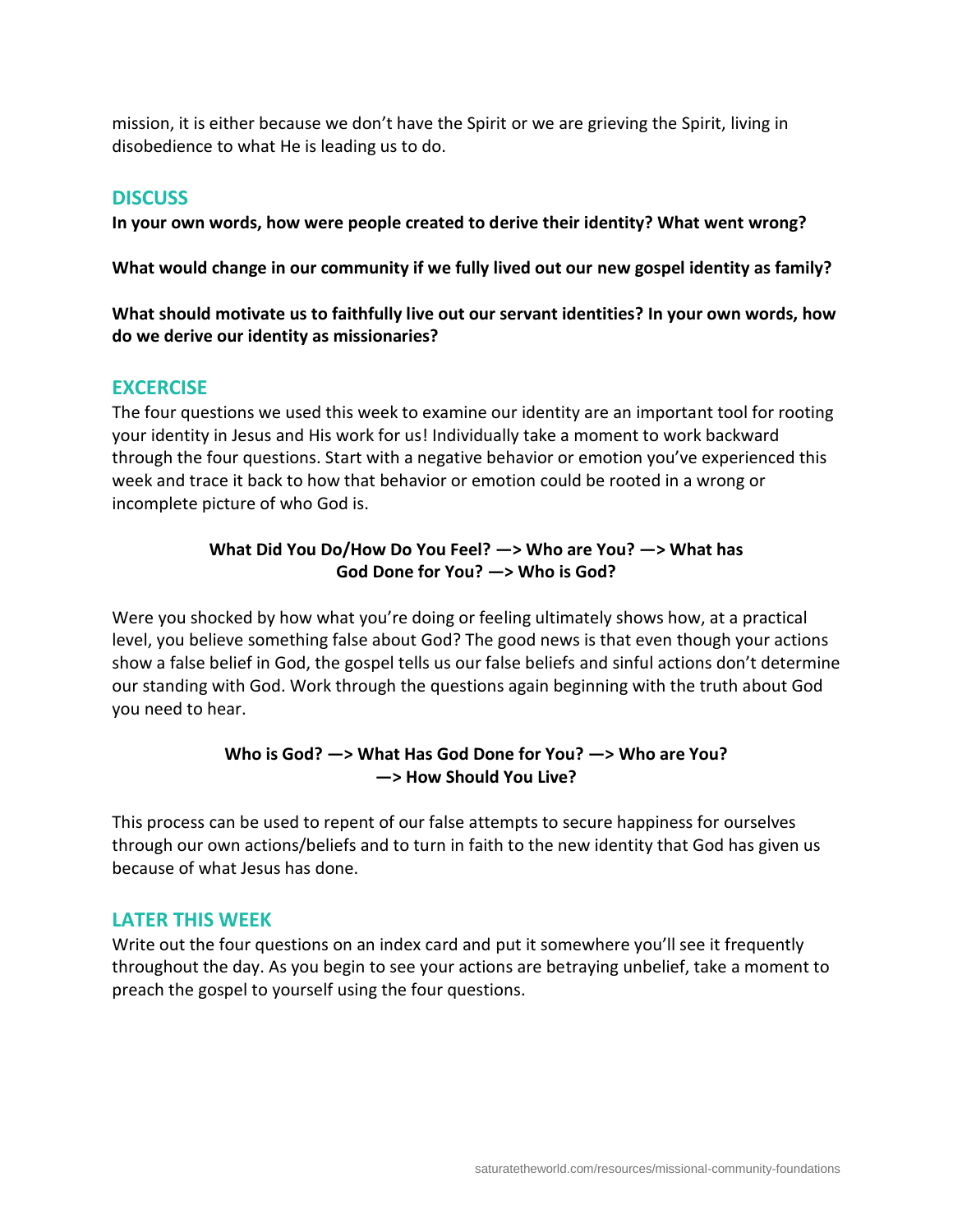mission, it is either because we don't have the Spirit or we are grieving the Spirit, living in disobedience to what He is leading us to do.

# **DISCUSS**

**In your own words, how were people created to derive their identity? What went wrong?**

**What would change in our community if we fully lived out our new gospel identity as family?**

**What should motivate us to faithfully live out our servant identities? In your own words, how do we derive our identity as missionaries?**

# **EXCERCISE**

The four questions we used this week to examine our identity are an important tool for rooting your identity in Jesus and His work for us! Individually take a moment to work backward through the four questions. Start with a negative behavior or emotion you've experienced this week and trace it back to how that behavior or emotion could be rooted in a wrong or incomplete picture of who God is.

# **What Did You Do/How Do You Feel? —> Who are You? —> What has God Done for You? —> Who is God?**

Were you shocked by how what you're doing or feeling ultimately shows how, at a practical level, you believe something false about God? The good news is that even though your actions show a false belief in God, the gospel tells us our false beliefs and sinful actions don't determine our standing with God. Work through the questions again beginning with the truth about God you need to hear.

# **Who is God? —> What Has God Done for You? —> Who are You? —> How Should You Live?**

This process can be used to repent of our false attempts to secure happiness for ourselves through our own actions/beliefs and to turn in faith to the new identity that God has given us because of what Jesus has done.

# **LATER THIS WEEK**

Write out the four questions on an index card and put it somewhere you'll see it frequently throughout the day. As you begin to see your actions are betraying unbelief, take a moment to preach the gospel to yourself using the four questions.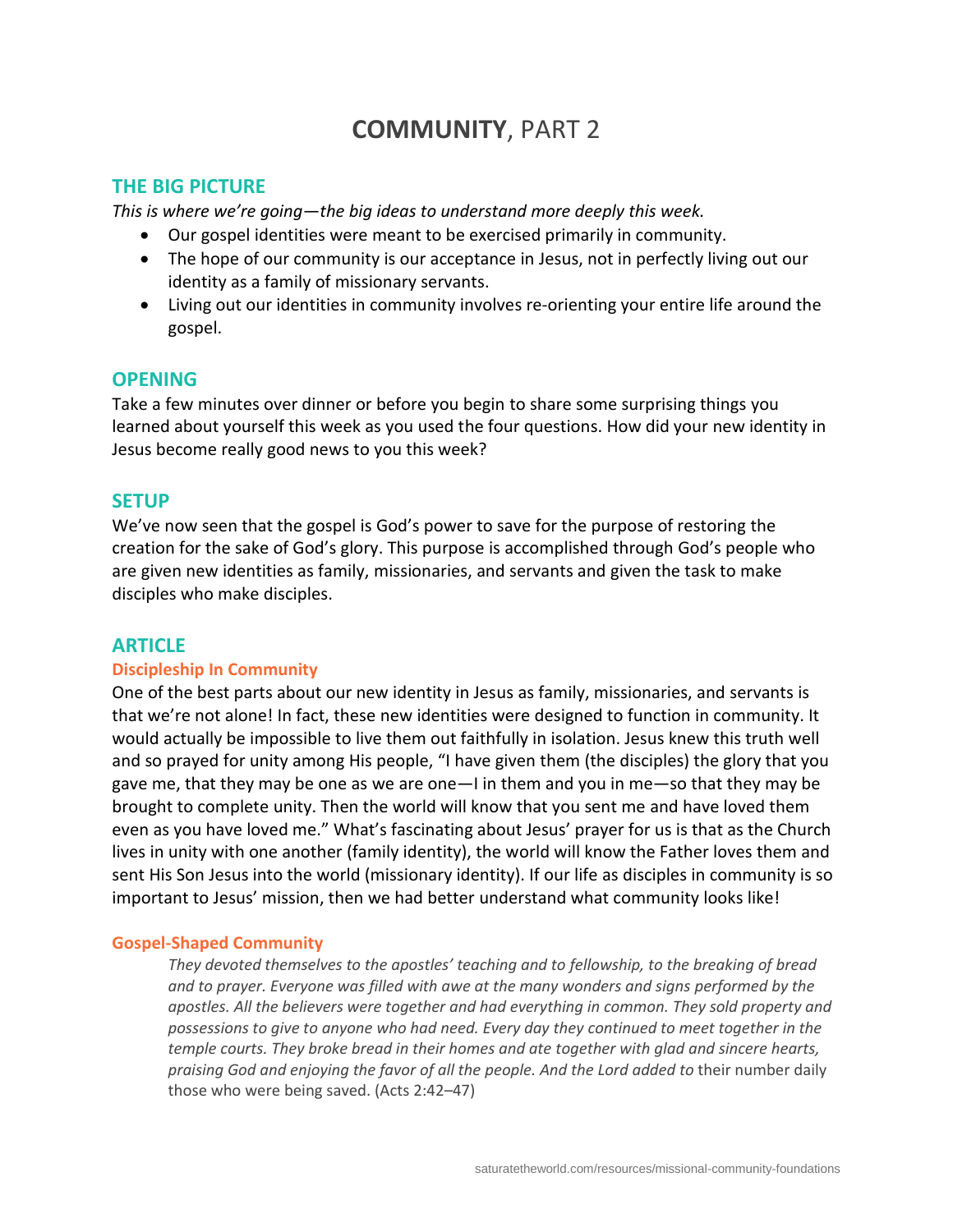# **COMMUNITY**, PART 2

# **THE BIG PICTURE**

*This is where we're going—the big ideas to understand more deeply this week.*

- Our gospel identities were meant to be exercised primarily in community.
- The hope of our community is our acceptance in Jesus, not in perfectly living out our identity as a family of missionary servants.
- Living out our identities in community involves re-orienting your entire life around the gospel.

# **OPENING**

Take a few minutes over dinner or before you begin to share some surprising things you learned about yourself this week as you used the four questions. How did your new identity in Jesus become really good news to you this week?

# **SETUP**

We've now seen that the gospel is God's power to save for the purpose of restoring the creation for the sake of God's glory. This purpose is accomplished through God's people who are given new identities as family, missionaries, and servants and given the task to make disciples who make disciples.

# **ARTICLE**

#### **Discipleship In Community**

One of the best parts about our new identity in Jesus as family, missionaries, and servants is that we're not alone! In fact, these new identities were designed to function in community. It would actually be impossible to live them out faithfully in isolation. Jesus knew this truth well and so prayed for unity among His people, "I have given them (the disciples) the glory that you gave me, that they may be one as we are one—I in them and you in me—so that they may be brought to complete unity. Then the world will know that you sent me and have loved them even as you have loved me." What's fascinating about Jesus' prayer for us is that as the Church lives in unity with one another (family identity), the world will know the Father loves them and sent His Son Jesus into the world (missionary identity). If our life as disciples in community is so important to Jesus' mission, then we had better understand what community looks like!

#### **Gospel-Shaped Community**

*They devoted themselves to the apostles' teaching and to fellowship, to the breaking of bread and to prayer. Everyone was filled with awe at the many wonders and signs performed by the apostles. All the believers were together and had everything in common. They sold property and possessions to give to anyone who had need. Every day they continued to meet together in the temple courts. They broke bread in their homes and ate together with glad and sincere hearts, praising God and enjoying the favor of all the people. And the Lord added to* their number daily those who were being saved. (Acts 2:42–47)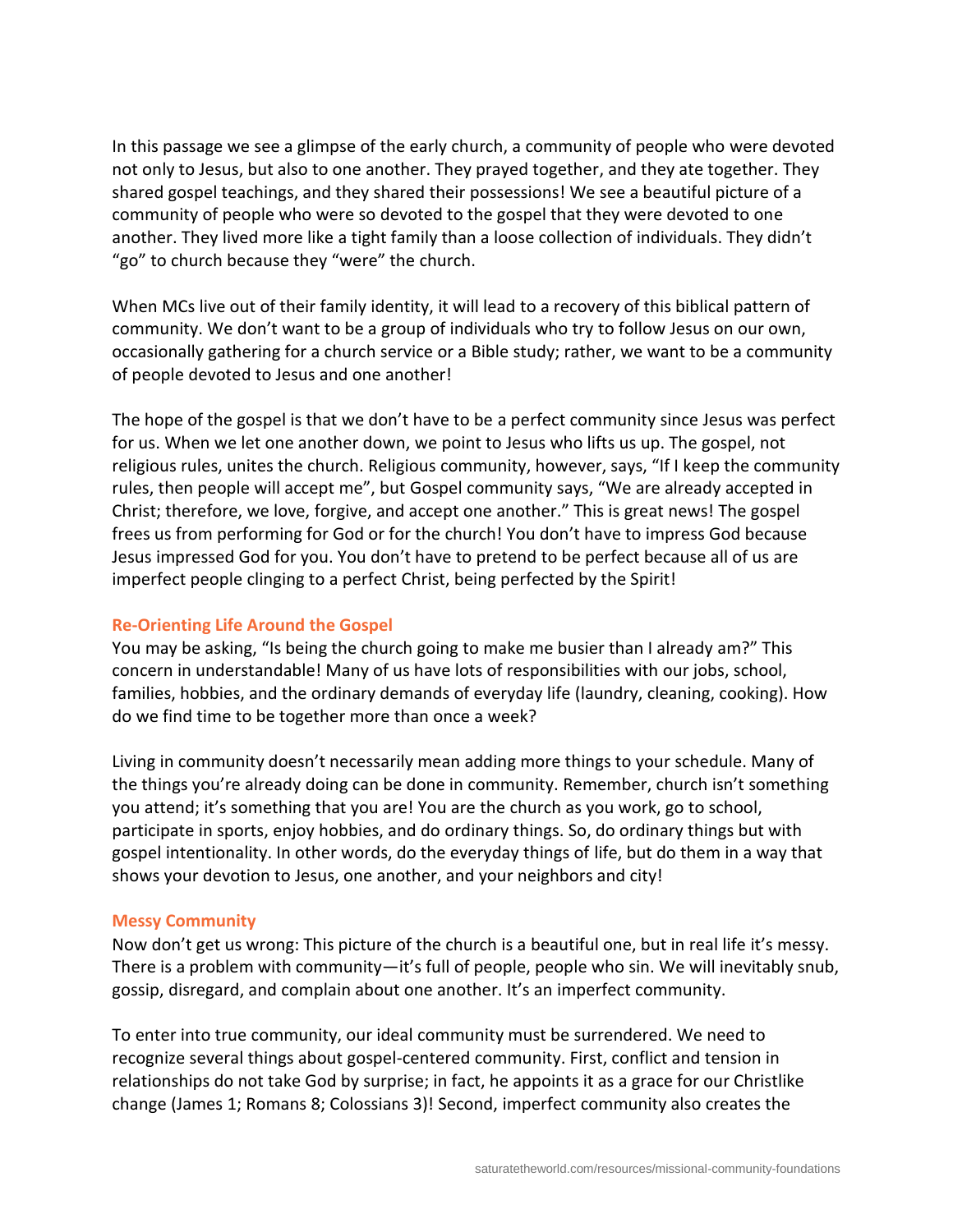In this passage we see a glimpse of the early church, a community of people who were devoted not only to Jesus, but also to one another. They prayed together, and they ate together. They shared gospel teachings, and they shared their possessions! We see a beautiful picture of a community of people who were so devoted to the gospel that they were devoted to one another. They lived more like a tight family than a loose collection of individuals. They didn't "go" to church because they "were" the church.

When MCs live out of their family identity, it will lead to a recovery of this biblical pattern of community. We don't want to be a group of individuals who try to follow Jesus on our own, occasionally gathering for a church service or a Bible study; rather, we want to be a community of people devoted to Jesus and one another!

The hope of the gospel is that we don't have to be a perfect community since Jesus was perfect for us. When we let one another down, we point to Jesus who lifts us up. The gospel, not religious rules, unites the church. Religious community, however, says, "If I keep the community rules, then people will accept me", but Gospel community says, "We are already accepted in Christ; therefore, we love, forgive, and accept one another." This is great news! The gospel frees us from performing for God or for the church! You don't have to impress God because Jesus impressed God for you. You don't have to pretend to be perfect because all of us are imperfect people clinging to a perfect Christ, being perfected by the Spirit!

#### **Re-Orienting Life Around the Gospel**

You may be asking, "Is being the church going to make me busier than I already am?" This concern in understandable! Many of us have lots of responsibilities with our jobs, school, families, hobbies, and the ordinary demands of everyday life (laundry, cleaning, cooking). How do we find time to be together more than once a week?

Living in community doesn't necessarily mean adding more things to your schedule. Many of the things you're already doing can be done in community. Remember, church isn't something you attend; it's something that you are! You are the church as you work, go to school, participate in sports, enjoy hobbies, and do ordinary things. So, do ordinary things but with gospel intentionality. In other words, do the everyday things of life, but do them in a way that shows your devotion to Jesus, one another, and your neighbors and city!

#### **Messy Community**

Now don't get us wrong: This picture of the church is a beautiful one, but in real life it's messy. There is a problem with community—it's full of people, people who sin. We will inevitably snub, gossip, disregard, and complain about one another. It's an imperfect community.

To enter into true community, our ideal community must be surrendered. We need to recognize several things about gospel-centered community. First, conflict and tension in relationships do not take God by surprise; in fact, he appoints it as a grace for our Christlike change (James 1; Romans 8; Colossians 3)! Second, imperfect community also creates the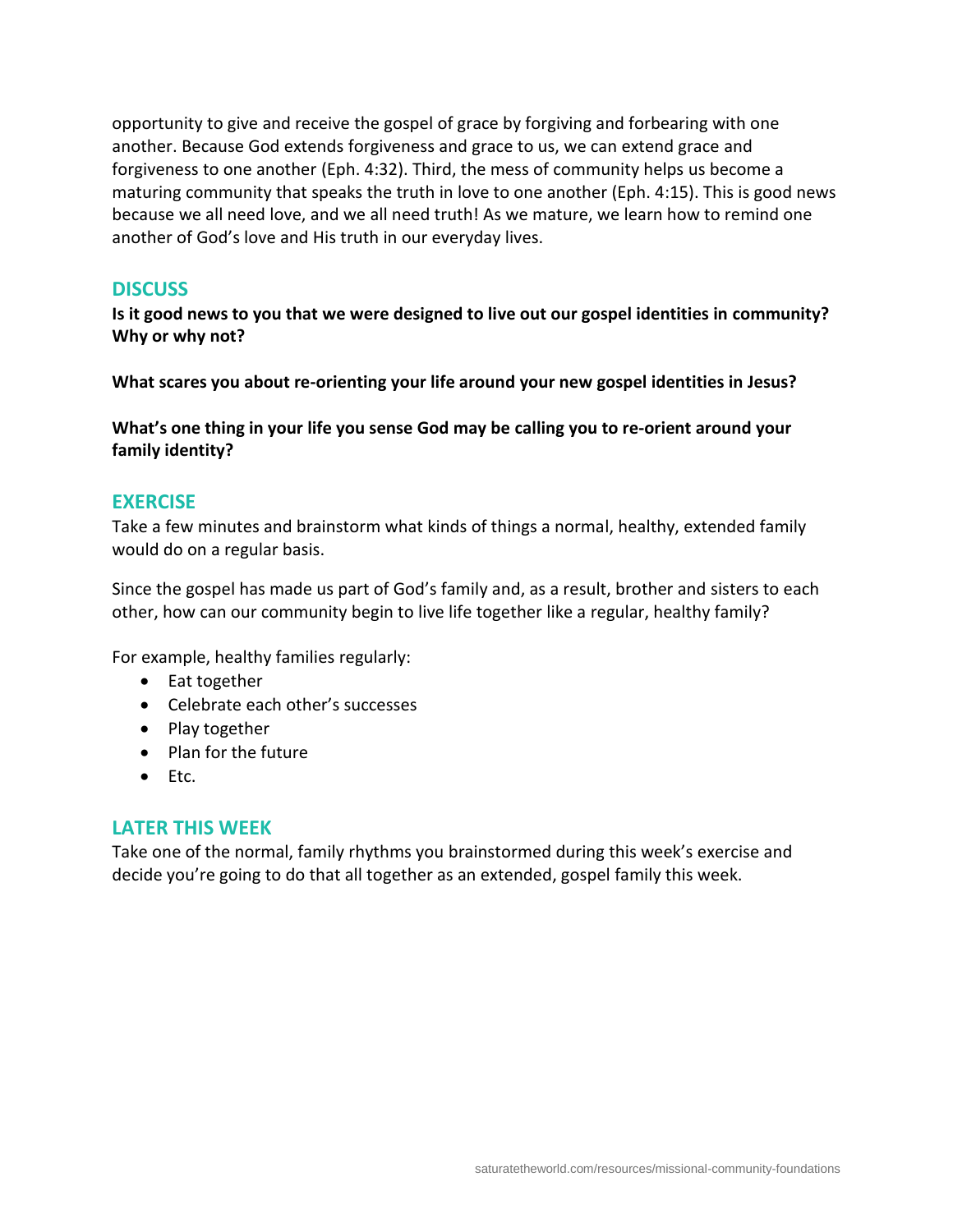opportunity to give and receive the gospel of grace by forgiving and forbearing with one another. Because God extends forgiveness and grace to us, we can extend grace and forgiveness to one another (Eph. 4:32). Third, the mess of community helps us become a maturing community that speaks the truth in love to one another (Eph. 4:15). This is good news because we all need love, and we all need truth! As we mature, we learn how to remind one another of God's love and His truth in our everyday lives.

#### **DISCUSS**

**Is it good news to you that we were designed to live out our gospel identities in community? Why or why not?**

**What scares you about re-orienting your life around your new gospel identities in Jesus?**

**What's one thing in your life you sense God may be calling you to re-orient around your family identity?**

## **EXERCISE**

Take a few minutes and brainstorm what kinds of things a normal, healthy, extended family would do on a regular basis.

Since the gospel has made us part of God's family and, as a result, brother and sisters to each other, how can our community begin to live life together like a regular, healthy family?

For example, healthy families regularly:

- Eat together
- Celebrate each other's successes
- Play together
- Plan for the future
- Etc.

# **LATER THIS WEEK**

Take one of the normal, family rhythms you brainstormed during this week's exercise and decide you're going to do that all together as an extended, gospel family this week.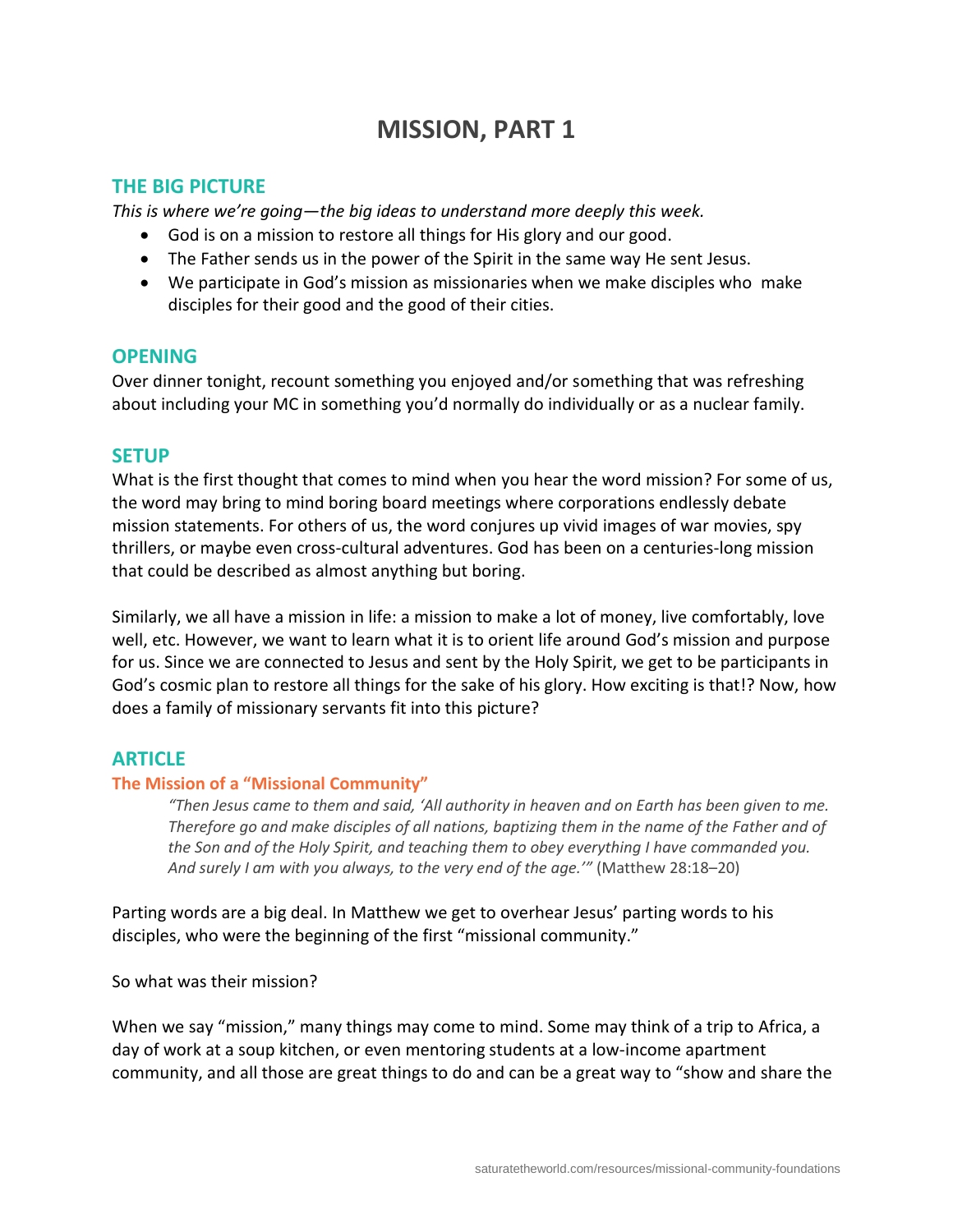# **MISSION, PART 1**

# **THE BIG PICTURE**

*This is where we're going—the big ideas to understand more deeply this week.*

- God is on a mission to restore all things for His glory and our good.
- The Father sends us in the power of the Spirit in the same way He sent Jesus.
- We participate in God's mission as missionaries when we make disciples who make disciples for their good and the good of their cities.

# **OPENING**

Over dinner tonight, recount something you enjoyed and/or something that was refreshing about including your MC in something you'd normally do individually or as a nuclear family.

# **SETUP**

What is the first thought that comes to mind when you hear the word mission? For some of us, the word may bring to mind boring board meetings where corporations endlessly debate mission statements. For others of us, the word conjures up vivid images of war movies, spy thrillers, or maybe even cross-cultural adventures. God has been on a centuries-long mission that could be described as almost anything but boring.

Similarly, we all have a mission in life: a mission to make a lot of money, live comfortably, love well, etc. However, we want to learn what it is to orient life around God's mission and purpose for us. Since we are connected to Jesus and sent by the Holy Spirit, we get to be participants in God's cosmic plan to restore all things for the sake of his glory. How exciting is that!? Now, how does a family of missionary servants fit into this picture?

# **ARTICLE**

# **The Mission of a "Missional Community"**

*"Then Jesus came to them and said, 'All authority in heaven and on Earth has been given to me. Therefore go and make disciples of all nations, baptizing them in the name of the Father and of the Son and of the Holy Spirit, and teaching them to obey everything I have commanded you. And surely I am with you always, to the very end of the age.'"* (Matthew 28:18–20)

Parting words are a big deal. In Matthew we get to overhear Jesus' parting words to his disciples, who were the beginning of the first "missional community."

So what was their mission?

When we say "mission," many things may come to mind. Some may think of a trip to Africa, a day of work at a soup kitchen, or even mentoring students at a low-income apartment community, and all those are great things to do and can be a great way to "show and share the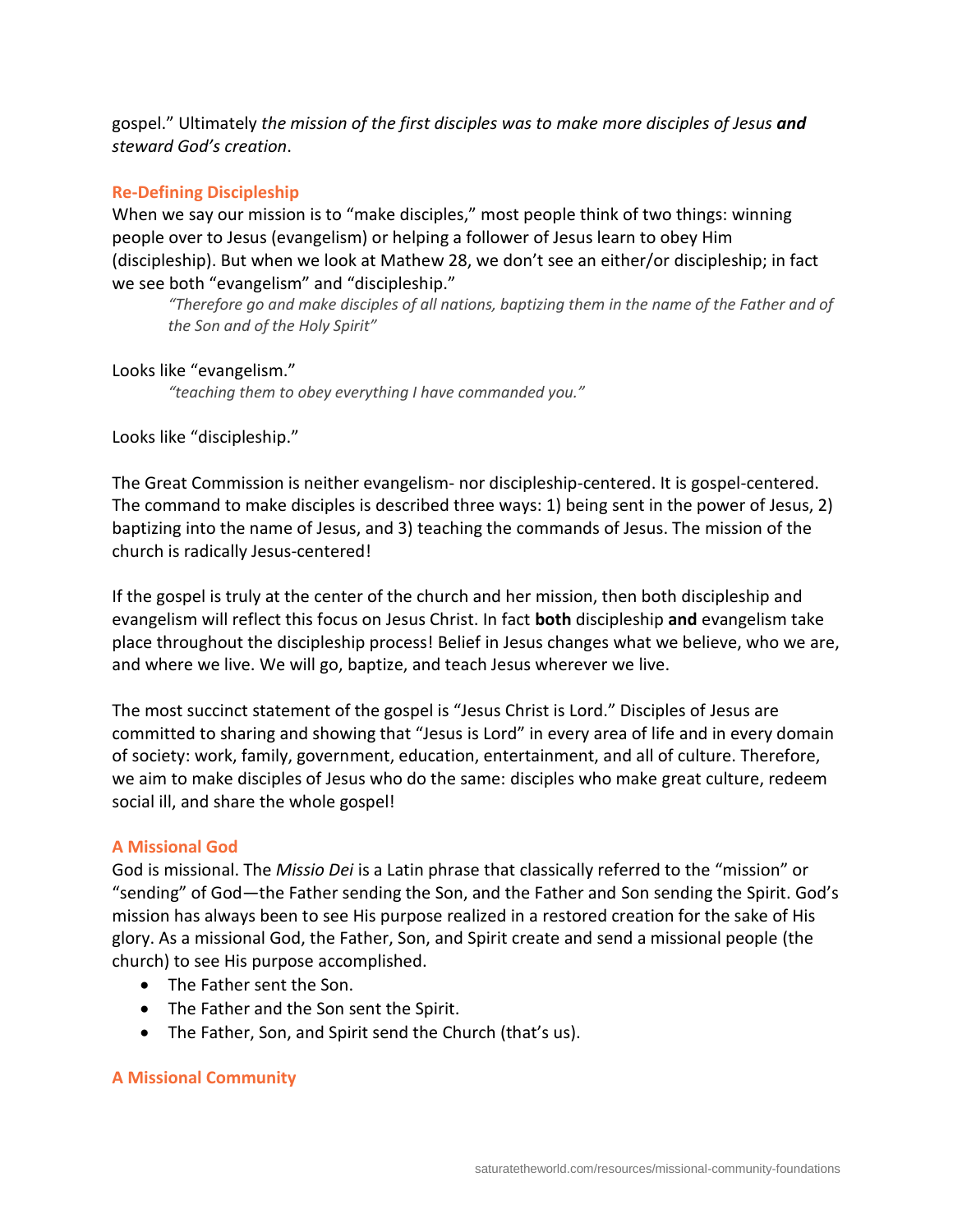gospel." Ultimately *the mission of the first disciples was to make more disciples of Jesus and steward God's creation*.

## **Re-Defining Discipleship**

When we say our mission is to "make disciples," most people think of two things: winning people over to Jesus (evangelism) or helping a follower of Jesus learn to obey Him (discipleship). But when we look at Mathew 28, we don't see an either/or discipleship; in fact we see both "evangelism" and "discipleship."

*"Therefore go and make disciples of all nations, baptizing them in the name of the Father and of the Son and of the Holy Spirit"*

#### Looks like "evangelism."

*"teaching them to obey everything I have commanded you."*

Looks like "discipleship."

The Great Commission is neither evangelism- nor discipleship-centered. It is gospel-centered. The command to make disciples is described three ways: 1) being sent in the power of Jesus, 2) baptizing into the name of Jesus, and 3) teaching the commands of Jesus. The mission of the church is radically Jesus-centered!

If the gospel is truly at the center of the church and her mission, then both discipleship and evangelism will reflect this focus on Jesus Christ. In fact **both** discipleship **and** evangelism take place throughout the discipleship process! Belief in Jesus changes what we believe, who we are, and where we live. We will go, baptize, and teach Jesus wherever we live.

The most succinct statement of the gospel is "Jesus Christ is Lord." Disciples of Jesus are committed to sharing and showing that "Jesus is Lord" in every area of life and in every domain of society: work, family, government, education, entertainment, and all of culture. Therefore, we aim to make disciples of Jesus who do the same: disciples who make great culture, redeem social ill, and share the whole gospel!

#### **A Missional God**

God is missional. The *Missio Dei* is a Latin phrase that classically referred to the "mission" or "sending" of God—the Father sending the Son, and the Father and Son sending the Spirit. God's mission has always been to see His purpose realized in a restored creation for the sake of His glory. As a missional God, the Father, Son, and Spirit create and send a missional people (the church) to see His purpose accomplished.

- The Father sent the Son.
- The Father and the Son sent the Spirit.
- The Father, Son, and Spirit send the Church (that's us).

#### **A Missional Community**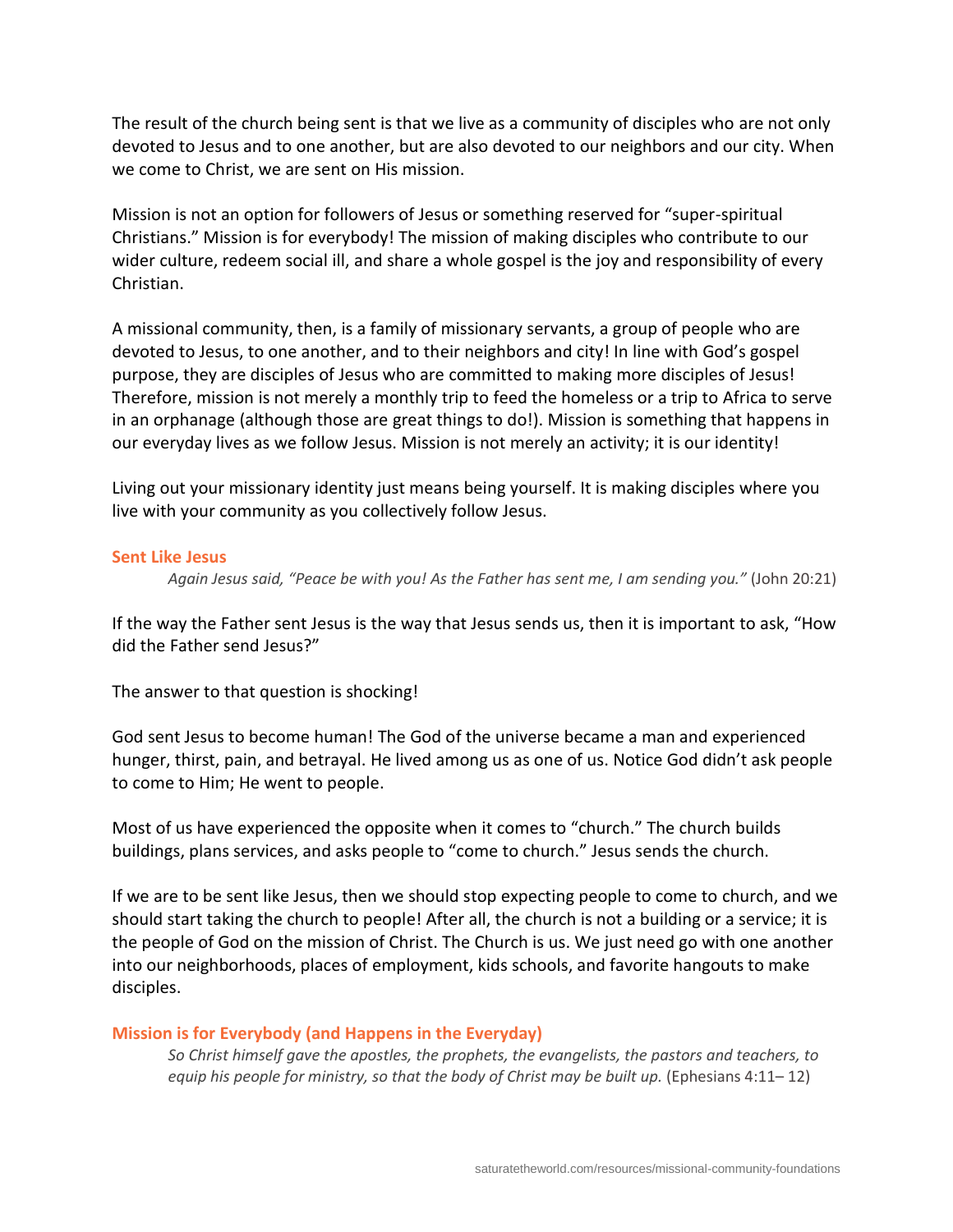The result of the church being sent is that we live as a community of disciples who are not only devoted to Jesus and to one another, but are also devoted to our neighbors and our city. When we come to Christ, we are sent on His mission.

Mission is not an option for followers of Jesus or something reserved for "super-spiritual Christians." Mission is for everybody! The mission of making disciples who contribute to our wider culture, redeem social ill, and share a whole gospel is the joy and responsibility of every Christian.

A missional community, then, is a family of missionary servants, a group of people who are devoted to Jesus, to one another, and to their neighbors and city! In line with God's gospel purpose, they are disciples of Jesus who are committed to making more disciples of Jesus! Therefore, mission is not merely a monthly trip to feed the homeless or a trip to Africa to serve in an orphanage (although those are great things to do!). Mission is something that happens in our everyday lives as we follow Jesus. Mission is not merely an activity; it is our identity!

Living out your missionary identity just means being yourself. It is making disciples where you live with your community as you collectively follow Jesus.

#### **Sent Like Jesus**

*Again Jesus said, "Peace be with you! As the Father has sent me, I am sending you."* (John 20:21)

If the way the Father sent Jesus is the way that Jesus sends us, then it is important to ask, "How did the Father send Jesus?"

The answer to that question is shocking!

God sent Jesus to become human! The God of the universe became a man and experienced hunger, thirst, pain, and betrayal. He lived among us as one of us. Notice God didn't ask people to come to Him; He went to people.

Most of us have experienced the opposite when it comes to "church." The church builds buildings, plans services, and asks people to "come to church." Jesus sends the church.

If we are to be sent like Jesus, then we should stop expecting people to come to church, and we should start taking the church to people! After all, the church is not a building or a service; it is the people of God on the mission of Christ. The Church is us. We just need go with one another into our neighborhoods, places of employment, kids schools, and favorite hangouts to make disciples.

#### **Mission is for Everybody (and Happens in the Everyday)**

*So Christ himself gave the apostles, the prophets, the evangelists, the pastors and teachers, to equip his people for ministry, so that the body of Christ may be built up.* (Ephesians 4:11-12)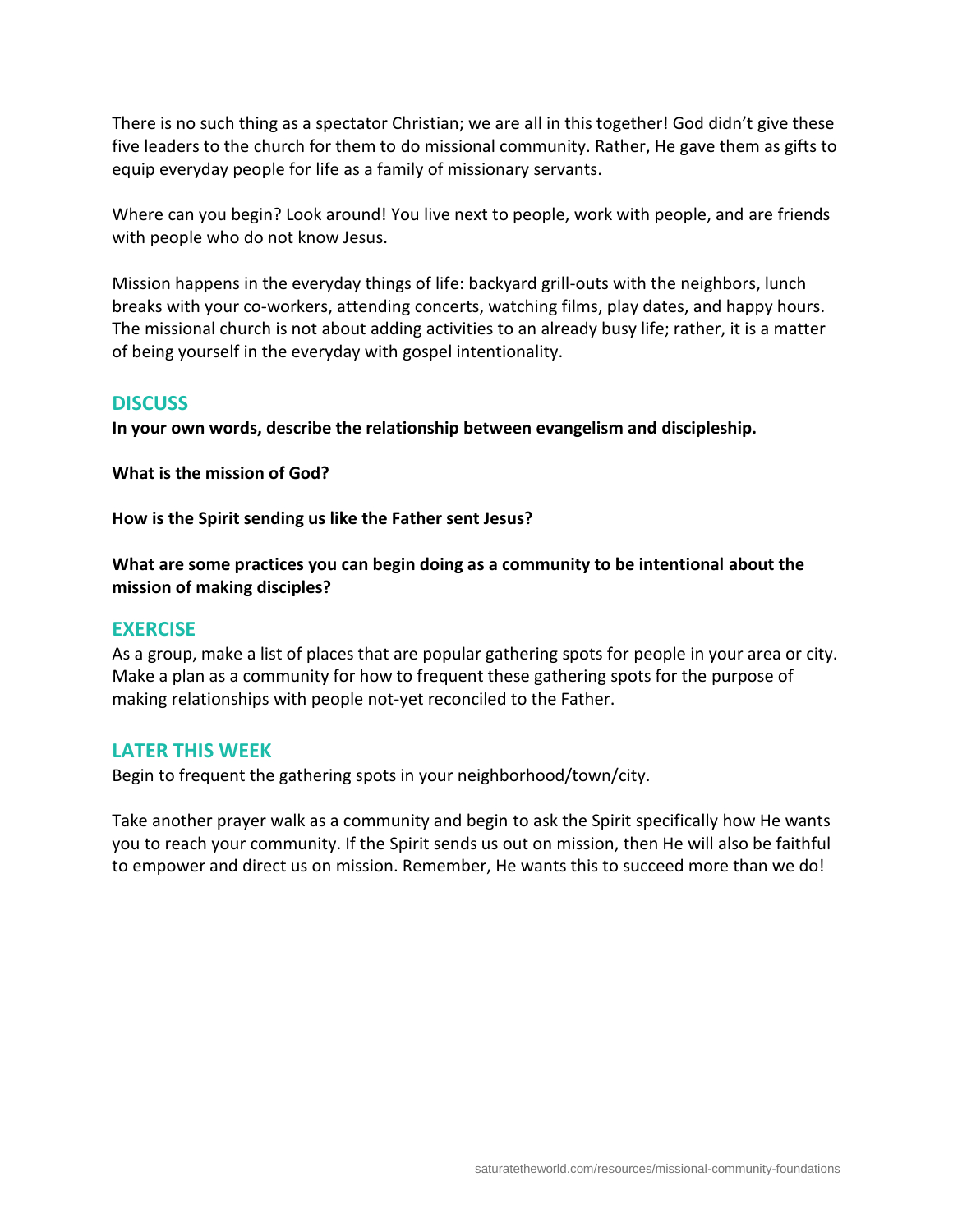There is no such thing as a spectator Christian; we are all in this together! God didn't give these five leaders to the church for them to do missional community. Rather, He gave them as gifts to equip everyday people for life as a family of missionary servants.

Where can you begin? Look around! You live next to people, work with people, and are friends with people who do not know Jesus.

Mission happens in the everyday things of life: backyard grill-outs with the neighbors, lunch breaks with your co-workers, attending concerts, watching films, play dates, and happy hours. The missional church is not about adding activities to an already busy life; rather, it is a matter of being yourself in the everyday with gospel intentionality.

# **DISCUSS**

**In your own words, describe the relationship between evangelism and discipleship.**

**What is the mission of God?**

**How is the Spirit sending us like the Father sent Jesus?**

**What are some practices you can begin doing as a community to be intentional about the mission of making disciples?**

#### **EXERCISE**

As a group, make a list of places that are popular gathering spots for people in your area or city. Make a plan as a community for how to frequent these gathering spots for the purpose of making relationships with people not-yet reconciled to the Father.

# **LATER THIS WEEK**

Begin to frequent the gathering spots in your neighborhood/town/city.

Take another prayer walk as a community and begin to ask the Spirit specifically how He wants you to reach your community. If the Spirit sends us out on mission, then He will also be faithful to empower and direct us on mission. Remember, He wants this to succeed more than we do!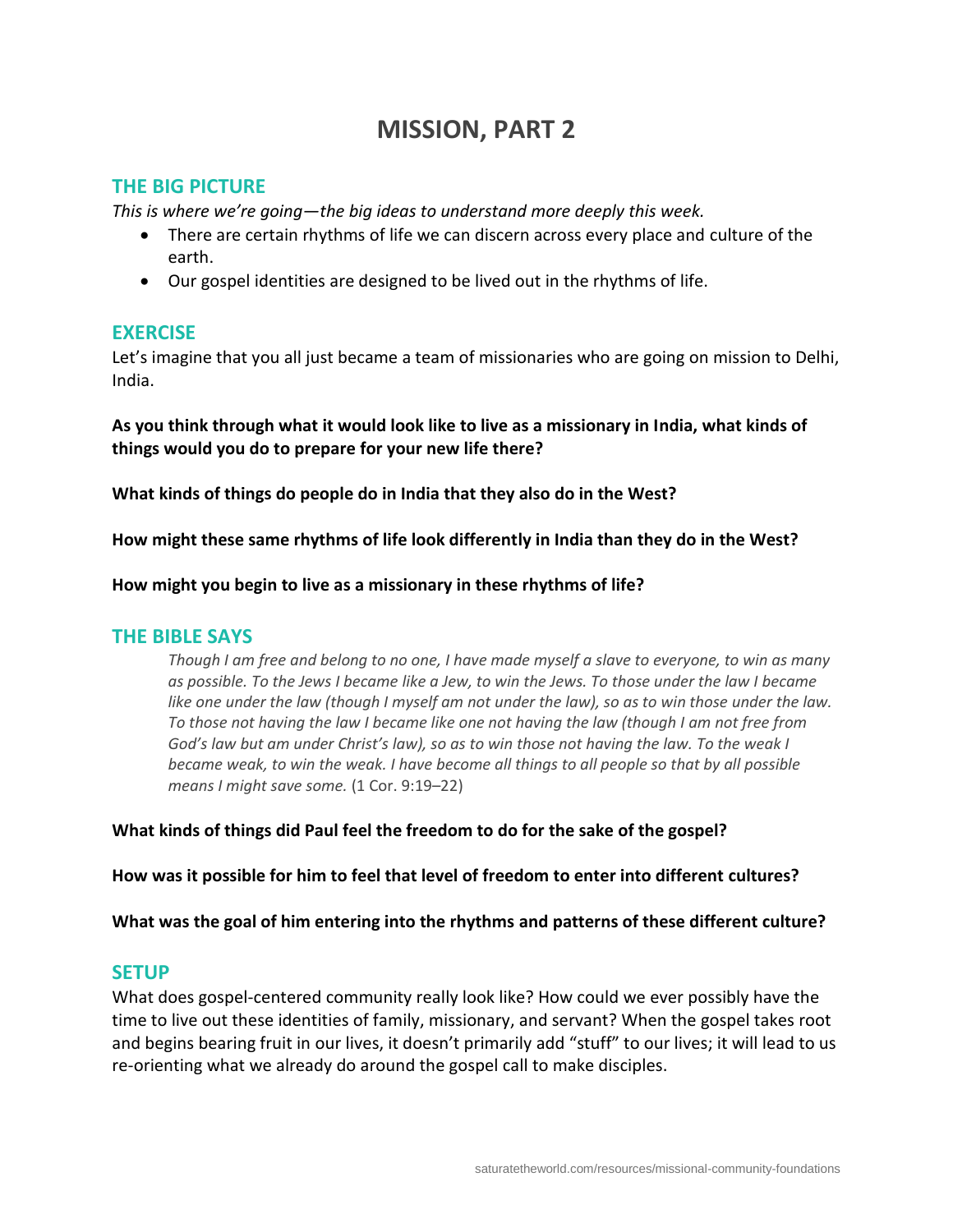# **MISSION, PART 2**

# **THE BIG PICTURE**

*This is where we're going—the big ideas to understand more deeply this week.*

- There are certain rhythms of life we can discern across every place and culture of the earth.
- Our gospel identities are designed to be lived out in the rhythms of life.

# **EXERCISE**

Let's imagine that you all just became a team of missionaries who are going on mission to Delhi, India.

**As you think through what it would look like to live as a missionary in India, what kinds of things would you do to prepare for your new life there?**

**What kinds of things do people do in India that they also do in the West?**

**How might these same rhythms of life look differently in India than they do in the West?**

**How might you begin to live as a missionary in these rhythms of life?**

#### **THE BIBLE SAYS**

*Though I am free and belong to no one, I have made myself a slave to everyone, to win as many as possible. To the Jews I became like a Jew, to win the Jews. To those under the law I became*  like one under the law (though I myself am not under the law), so as to win those under the law. *To those not having the law I became like one not having the law (though I am not free from God's law but am under Christ's law), so as to win those not having the law. To the weak I became weak, to win the weak. I have become all things to all people so that by all possible means I might save some.* (1 Cor. 9:19–22)

**What kinds of things did Paul feel the freedom to do for the sake of the gospel?**

**How was it possible for him to feel that level of freedom to enter into different cultures?**

**What was the goal of him entering into the rhythms and patterns of these different culture?**

# **SETUP**

What does gospel-centered community really look like? How could we ever possibly have the time to live out these identities of family, missionary, and servant? When the gospel takes root and begins bearing fruit in our lives, it doesn't primarily add "stuff" to our lives; it will lead to us re-orienting what we already do around the gospel call to make disciples.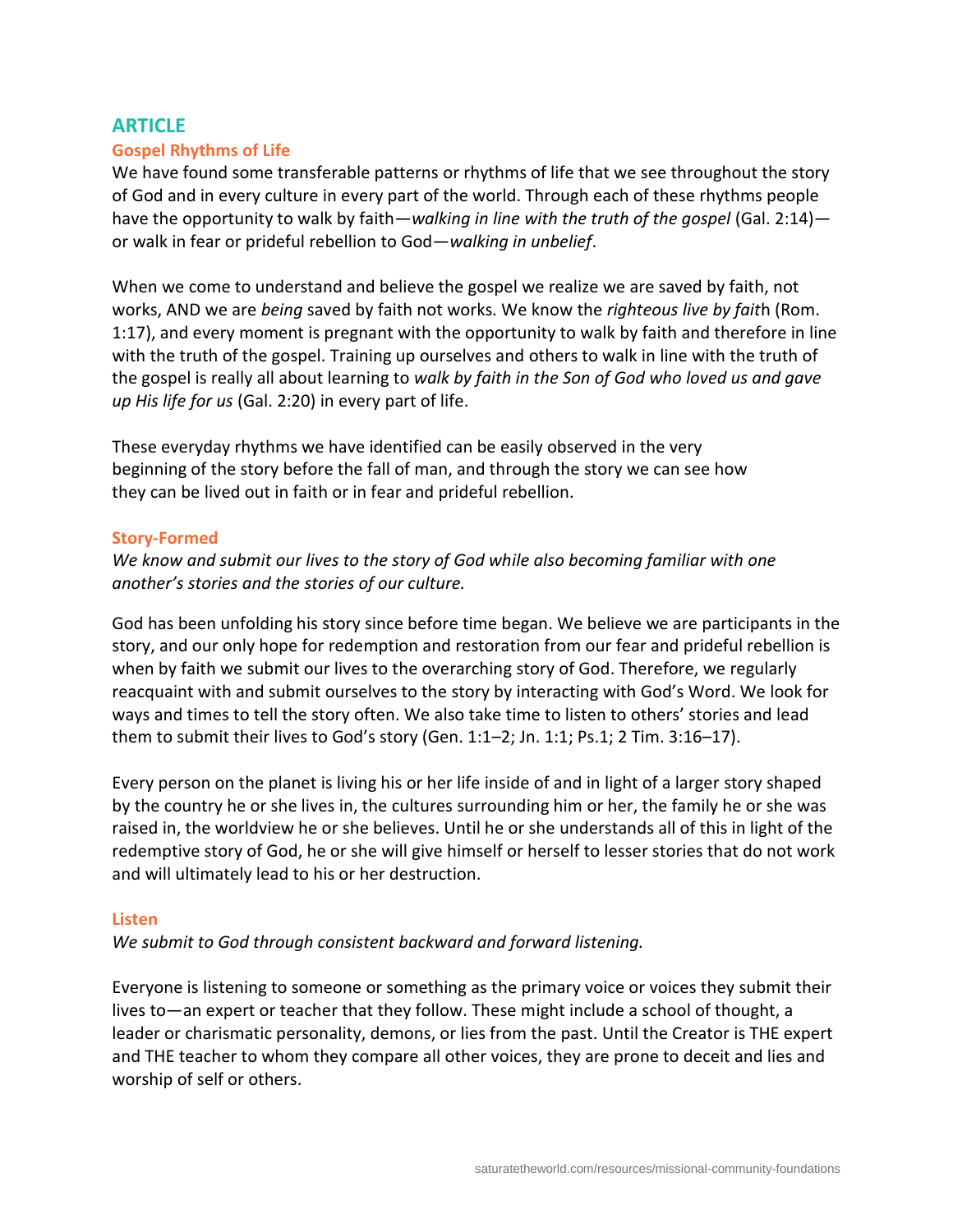# **ARTICLE**

#### **Gospel Rhythms of Life**

We have found some transferable patterns or rhythms of life that we see throughout the story of God and in every culture in every part of the world. Through each of these rhythms people have the opportunity to walk by faith—*walking in line with the truth of the gospel* (Gal. 2:14) or walk in fear or prideful rebellion to God—*walking in unbelief*.

When we come to understand and believe the gospel we realize we are saved by faith, not works, AND we are *being* saved by faith not works. We know the *righteous live by fait*h (Rom. 1:17), and every moment is pregnant with the opportunity to walk by faith and therefore in line with the truth of the gospel. Training up ourselves and others to walk in line with the truth of the gospel is really all about learning to *walk by faith in the Son of God who loved us and gave up His life for us* (Gal. 2:20) in every part of life.

These everyday rhythms we have identified can be easily observed in the very beginning of the story before the fall of man, and through the story we can see how they can be lived out in faith or in fear and prideful rebellion.

#### **Story-Formed**

*We know and submit our lives to the story of God while also becoming familiar with one another's stories and the stories of our culture.*

God has been unfolding his story since before time began. We believe we are participants in the story, and our only hope for redemption and restoration from our fear and prideful rebellion is when by faith we submit our lives to the overarching story of God. Therefore, we regularly reacquaint with and submit ourselves to the story by interacting with God's Word. We look for ways and times to tell the story often. We also take time to listen to others' stories and lead them to submit their lives to God's story (Gen. 1:1–2; Jn. 1:1; Ps.1; 2 Tim. 3:16–17).

Every person on the planet is living his or her life inside of and in light of a larger story shaped by the country he or she lives in, the cultures surrounding him or her, the family he or she was raised in, the worldview he or she believes. Until he or she understands all of this in light of the redemptive story of God, he or she will give himself or herself to lesser stories that do not work and will ultimately lead to his or her destruction.

#### **Listen**

*We submit to God through consistent backward and forward listening.*

Everyone is listening to someone or something as the primary voice or voices they submit their lives to—an expert or teacher that they follow. These might include a school of thought, a leader or charismatic personality, demons, or lies from the past. Until the Creator is THE expert and THE teacher to whom they compare all other voices, they are prone to deceit and lies and worship of self or others.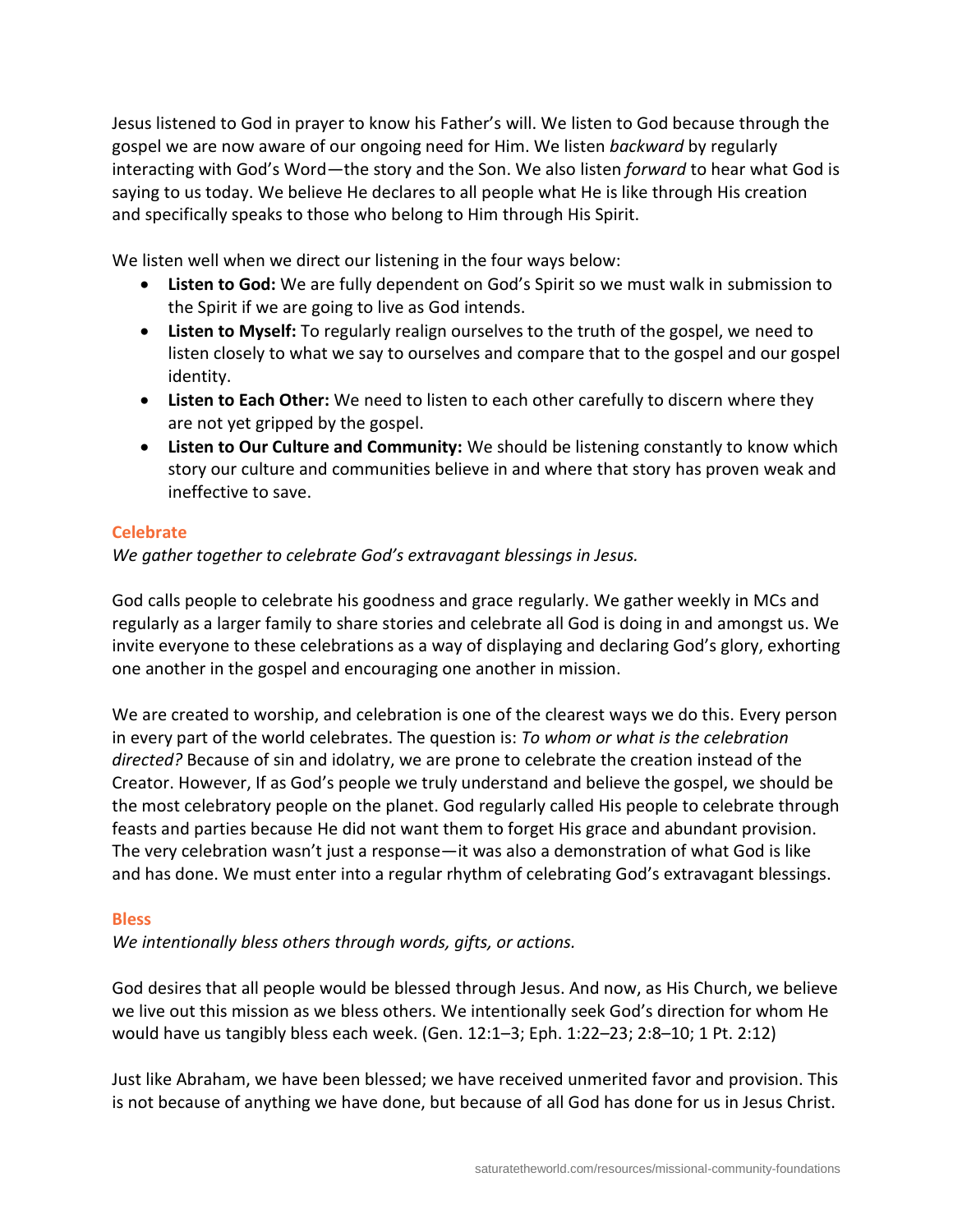Jesus listened to God in prayer to know his Father's will. We listen to God because through the gospel we are now aware of our ongoing need for Him. We listen *backward* by regularly interacting with God's Word—the story and the Son. We also listen *forward* to hear what God is saying to us today. We believe He declares to all people what He is like through His creation and specifically speaks to those who belong to Him through His Spirit.

We listen well when we direct our listening in the four ways below:

- **Listen to God:** We are fully dependent on God's Spirit so we must walk in submission to the Spirit if we are going to live as God intends.
- **Listen to Myself:** To regularly realign ourselves to the truth of the gospel, we need to listen closely to what we say to ourselves and compare that to the gospel and our gospel identity.
- **Listen to Each Other:** We need to listen to each other carefully to discern where they are not yet gripped by the gospel.
- **Listen to Our Culture and Community:** We should be listening constantly to know which story our culture and communities believe in and where that story has proven weak and ineffective to save.

# **Celebrate**

*We gather together to celebrate God's extravagant blessings in Jesus.*

God calls people to celebrate his goodness and grace regularly. We gather weekly in MCs and regularly as a larger family to share stories and celebrate all God is doing in and amongst us. We invite everyone to these celebrations as a way of displaying and declaring God's glory, exhorting one another in the gospel and encouraging one another in mission.

We are created to worship, and celebration is one of the clearest ways we do this. Every person in every part of the world celebrates. The question is: *To whom or what is the celebration directed?* Because of sin and idolatry, we are prone to celebrate the creation instead of the Creator. However, If as God's people we truly understand and believe the gospel, we should be the most celebratory people on the planet. God regularly called His people to celebrate through feasts and parties because He did not want them to forget His grace and abundant provision. The very celebration wasn't just a response—it was also a demonstration of what God is like and has done. We must enter into a regular rhythm of celebrating God's extravagant blessings.

# **Bless**

*We intentionally bless others through words, gifts, or actions.*

God desires that all people would be blessed through Jesus. And now, as His Church, we believe we live out this mission as we bless others. We intentionally seek God's direction for whom He would have us tangibly bless each week. (Gen. 12:1–3; Eph. 1:22–23; 2:8–10; 1 Pt. 2:12)

Just like Abraham, we have been blessed; we have received unmerited favor and provision. This is not because of anything we have done, but because of all God has done for us in Jesus Christ.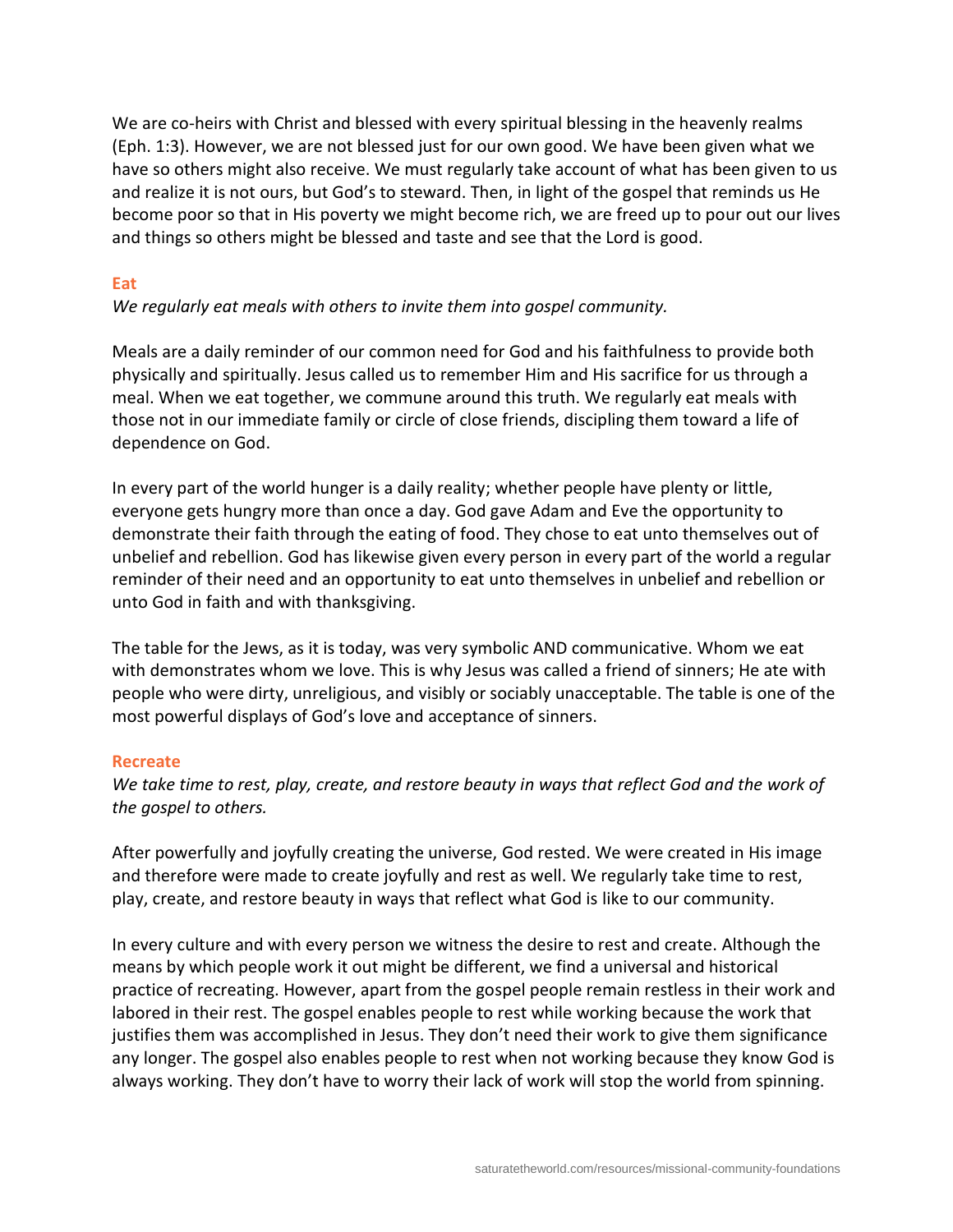We are co-heirs with Christ and blessed with every spiritual blessing in the heavenly realms (Eph. 1:3). However, we are not blessed just for our own good. We have been given what we have so others might also receive. We must regularly take account of what has been given to us and realize it is not ours, but God's to steward. Then, in light of the gospel that reminds us He become poor so that in His poverty we might become rich, we are freed up to pour out our lives and things so others might be blessed and taste and see that the Lord is good.

#### **Eat**

*We regularly eat meals with others to invite them into gospel community.*

Meals are a daily reminder of our common need for God and his faithfulness to provide both physically and spiritually. Jesus called us to remember Him and His sacrifice for us through a meal. When we eat together, we commune around this truth. We regularly eat meals with those not in our immediate family or circle of close friends, discipling them toward a life of dependence on God.

In every part of the world hunger is a daily reality; whether people have plenty or little, everyone gets hungry more than once a day. God gave Adam and Eve the opportunity to demonstrate their faith through the eating of food. They chose to eat unto themselves out of unbelief and rebellion. God has likewise given every person in every part of the world a regular reminder of their need and an opportunity to eat unto themselves in unbelief and rebellion or unto God in faith and with thanksgiving.

The table for the Jews, as it is today, was very symbolic AND communicative. Whom we eat with demonstrates whom we love. This is why Jesus was called a friend of sinners; He ate with people who were dirty, unreligious, and visibly or sociably unacceptable. The table is one of the most powerful displays of God's love and acceptance of sinners.

#### **Recreate**

*We take time to rest, play, create, and restore beauty in ways that reflect God and the work of the gospel to others.*

After powerfully and joyfully creating the universe, God rested. We were created in His image and therefore were made to create joyfully and rest as well. We regularly take time to rest, play, create, and restore beauty in ways that reflect what God is like to our community.

In every culture and with every person we witness the desire to rest and create. Although the means by which people work it out might be different, we find a universal and historical practice of recreating. However, apart from the gospel people remain restless in their work and labored in their rest. The gospel enables people to rest while working because the work that justifies them was accomplished in Jesus. They don't need their work to give them significance any longer. The gospel also enables people to rest when not working because they know God is always working. They don't have to worry their lack of work will stop the world from spinning.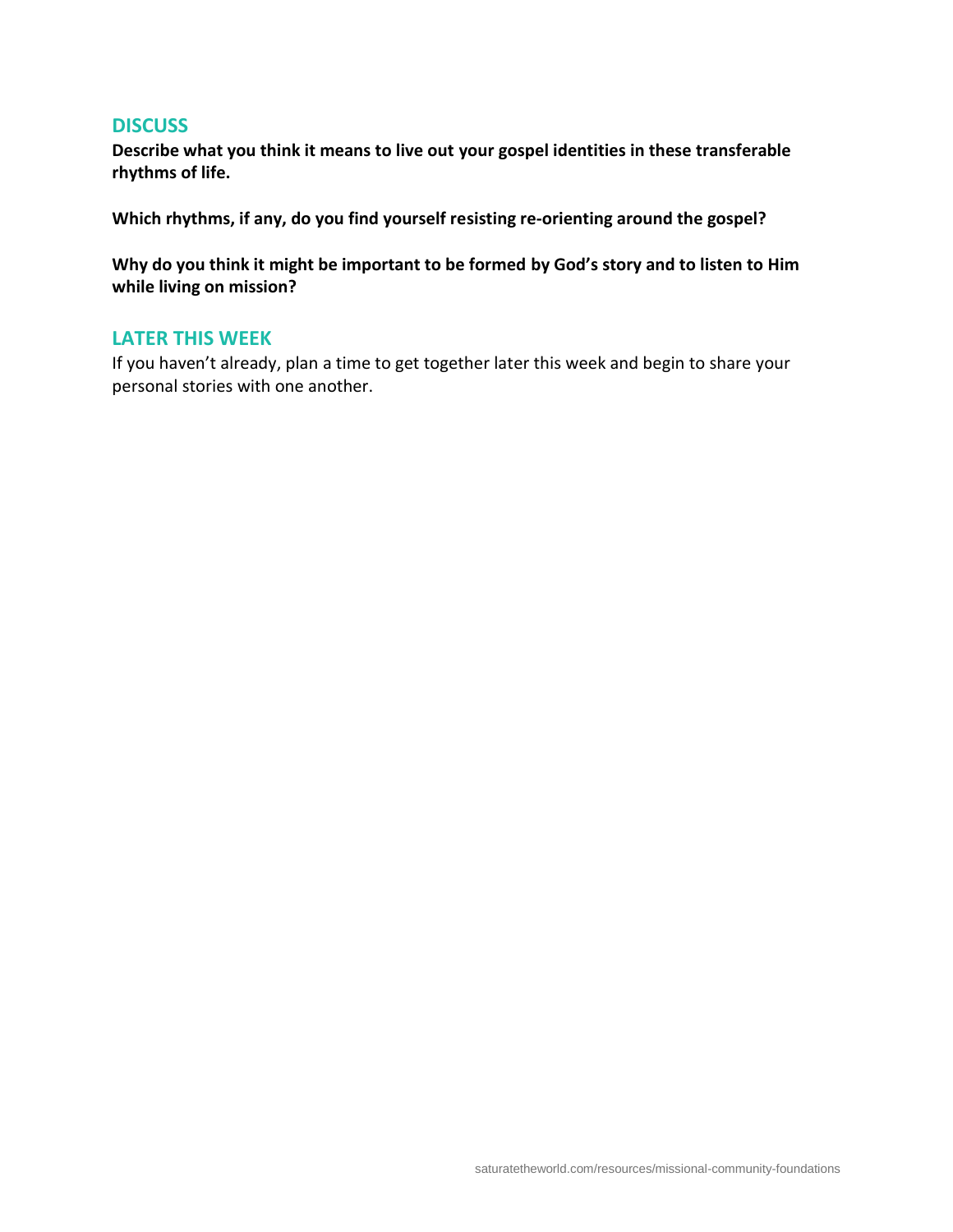#### **DISCUSS**

**Describe what you think it means to live out your gospel identities in these transferable rhythms of life.**

**Which rhythms, if any, do you find yourself resisting re-orienting around the gospel?**

**Why do you think it might be important to be formed by God's story and to listen to Him while living on mission?**

#### **LATER THIS WEEK**

If you haven't already, plan a time to get together later this week and begin to share your personal stories with one another.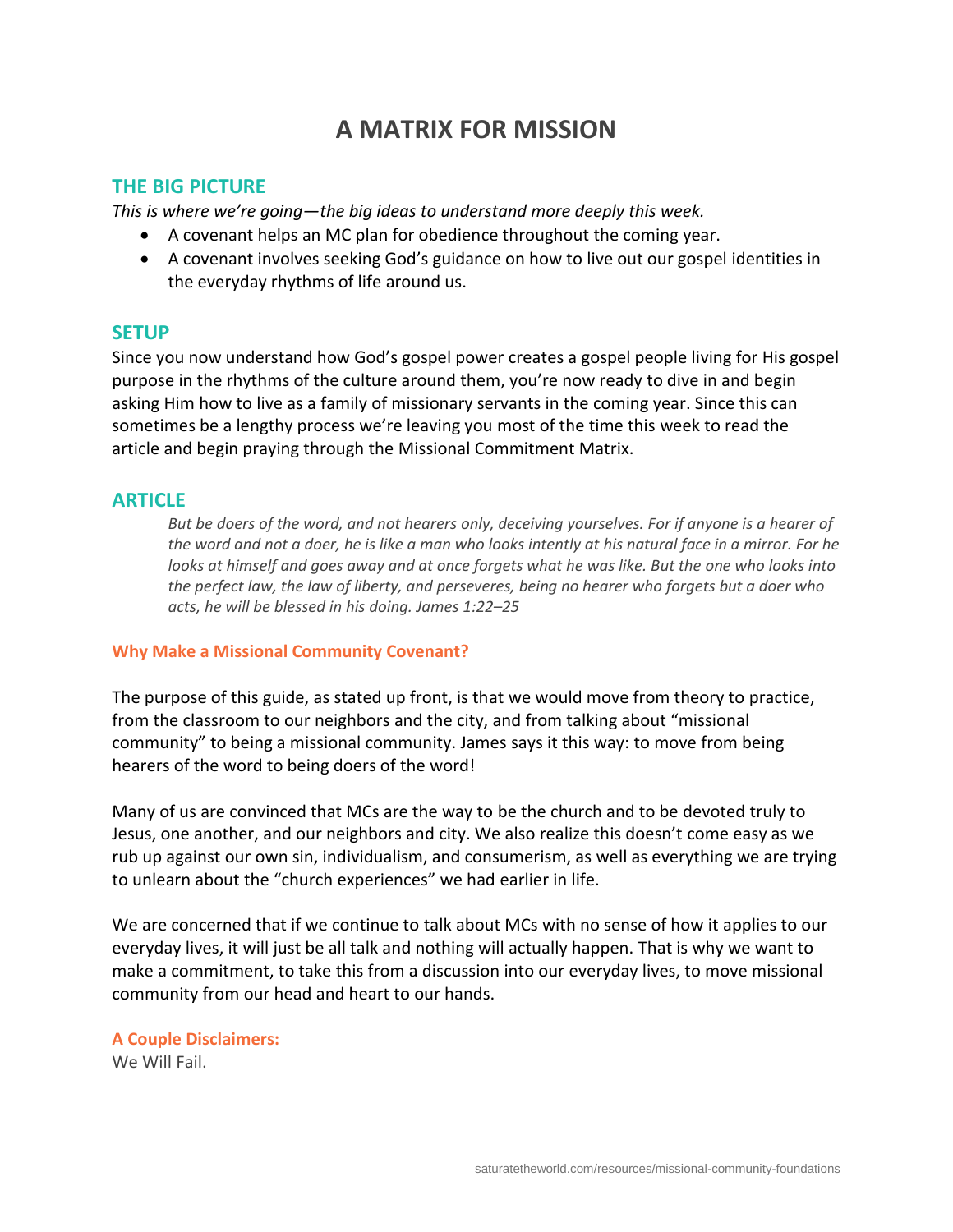# **A MATRIX FOR MISSION**

# **THE BIG PICTURE**

*This is where we're going—the big ideas to understand more deeply this week.*

- A covenant helps an MC plan for obedience throughout the coming year.
- A covenant involves seeking God's guidance on how to live out our gospel identities in the everyday rhythms of life around us.

#### **SETUP**

Since you now understand how God's gospel power creates a gospel people living for His gospel purpose in the rhythms of the culture around them, you're now ready to dive in and begin asking Him how to live as a family of missionary servants in the coming year. Since this can sometimes be a lengthy process we're leaving you most of the time this week to read the article and begin praying through the Missional Commitment Matrix.

# **ARTICLE**

*But be doers of the word, and not hearers only, deceiving yourselves. For if anyone is a hearer of the word and not a doer, he is like a man who looks intently at his natural face in a mirror. For he*  looks at himself and goes away and at once forgets what he was like. But the one who looks into *the perfect law, the law of liberty, and perseveres, being no hearer who forgets but a doer who acts, he will be blessed in his doing. James 1:22–25*

#### **Why Make a Missional Community Covenant?**

The purpose of this guide, as stated up front, is that we would move from theory to practice, from the classroom to our neighbors and the city, and from talking about "missional community" to being a missional community. James says it this way: to move from being hearers of the word to being doers of the word!

Many of us are convinced that MCs are the way to be the church and to be devoted truly to Jesus, one another, and our neighbors and city. We also realize this doesn't come easy as we rub up against our own sin, individualism, and consumerism, as well as everything we are trying to unlearn about the "church experiences" we had earlier in life.

We are concerned that if we continue to talk about MCs with no sense of how it applies to our everyday lives, it will just be all talk and nothing will actually happen. That is why we want to make a commitment, to take this from a discussion into our everyday lives, to move missional community from our head and heart to our hands.

# **A Couple Disclaimers:**

We Will Fail.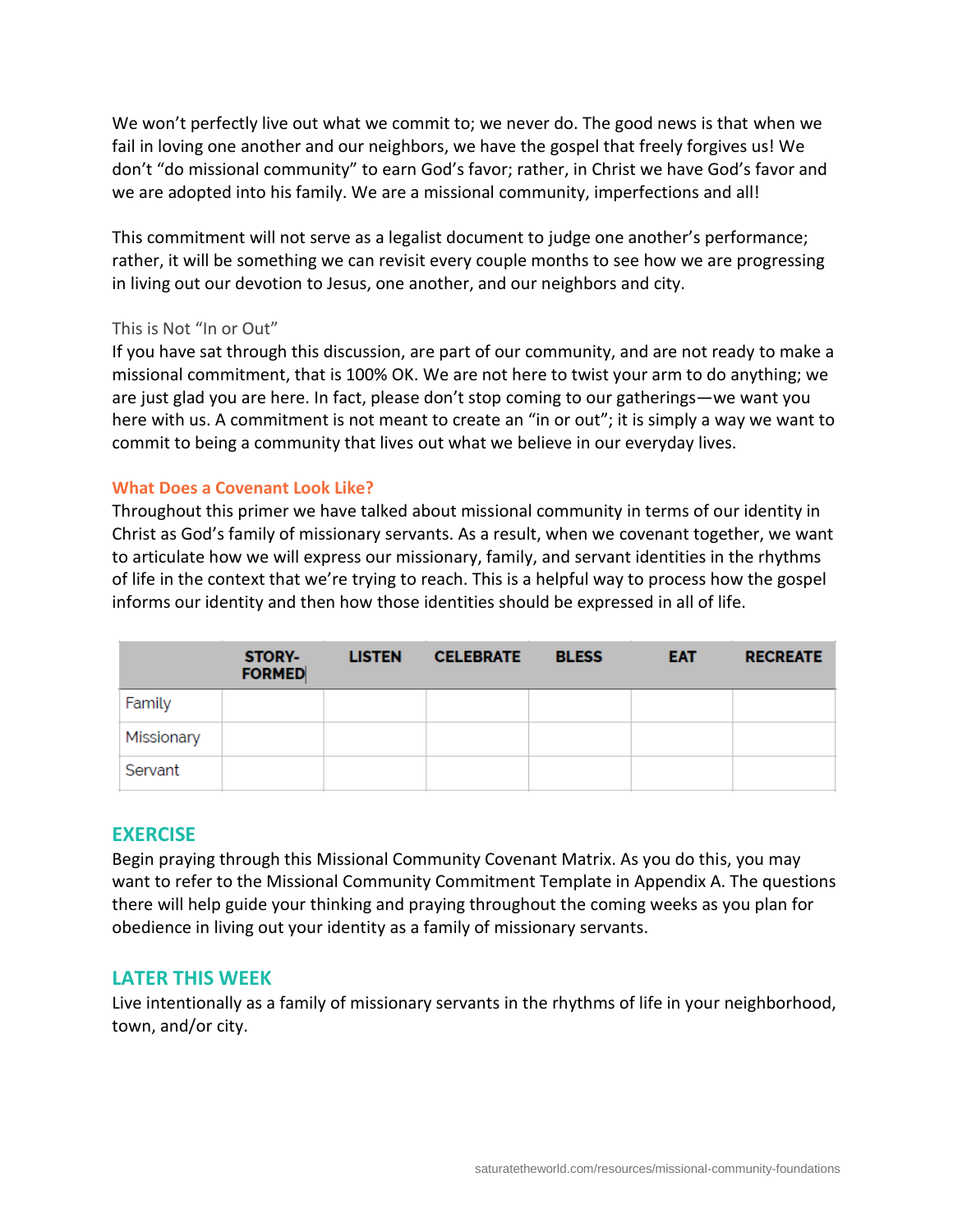We won't perfectly live out what we commit to; we never do. The good news is that when we fail in loving one another and our neighbors, we have the gospel that freely forgives us! We don't "do missional community" to earn God's favor; rather, in Christ we have God's favor and we are adopted into his family. We are a missional community, imperfections and all!

This commitment will not serve as a legalist document to judge one another's performance; rather, it will be something we can revisit every couple months to see how we are progressing in living out our devotion to Jesus, one another, and our neighbors and city.

#### This is Not "In or Out"

If you have sat through this discussion, are part of our community, and are not ready to make a missional commitment, that is 100% OK. We are not here to twist your arm to do anything; we are just glad you are here. In fact, please don't stop coming to our gatherings—we want you here with us. A commitment is not meant to create an "in or out"; it is simply a way we want to commit to being a community that lives out what we believe in our everyday lives.

#### **What Does a Covenant Look Like?**

Throughout this primer we have talked about missional community in terms of our identity in Christ as God's family of missionary servants. As a result, when we covenant together, we want to articulate how we will express our missionary, family, and servant identities in the rhythms of life in the context that we're trying to reach. This is a helpful way to process how the gospel informs our identity and then how those identities should be expressed in all of life.

|            | <b>STORY-</b><br><b>FORMED</b> | <b>LISTEN</b> | <b>CELEBRATE</b> | <b>BLESS</b> | <b>EAT</b> | <b>RECREATE</b> |
|------------|--------------------------------|---------------|------------------|--------------|------------|-----------------|
| Family     |                                |               |                  |              |            |                 |
| Missionary |                                |               |                  |              |            |                 |
| Servant    |                                |               |                  |              |            |                 |

#### **EXERCISE**

Begin praying through this Missional Community Covenant Matrix. As you do this, you may want to refer to the Missional Community Commitment Template in Appendix A. The questions there will help guide your thinking and praying throughout the coming weeks as you plan for obedience in living out your identity as a family of missionary servants.

#### **LATER THIS WEEK**

Live intentionally as a family of missionary servants in the rhythms of life in your neighborhood, town, and/or city.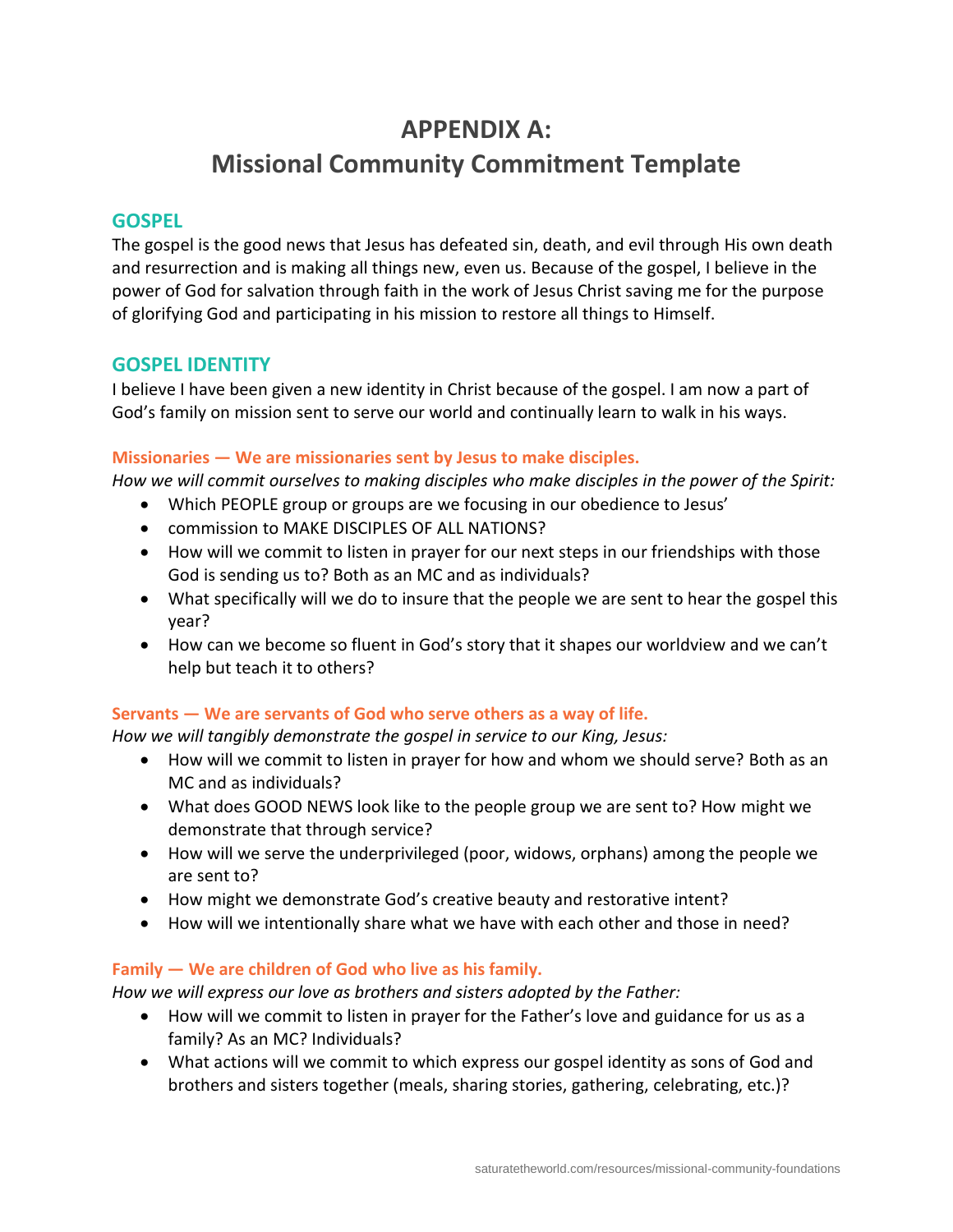# **APPENDIX A: Missional Community Commitment Template**

# **GOSPEL**

The gospel is the good news that Jesus has defeated sin, death, and evil through His own death and resurrection and is making all things new, even us. Because of the gospel, I believe in the power of God for salvation through faith in the work of Jesus Christ saving me for the purpose of glorifying God and participating in his mission to restore all things to Himself.

# **GOSPEL IDENTITY**

I believe I have been given a new identity in Christ because of the gospel. I am now a part of God's family on mission sent to serve our world and continually learn to walk in his ways.

# **Missionaries — We are missionaries sent by Jesus to make disciples.**

*How we will commit ourselves to making disciples who make disciples in the power of the Spirit:*

- Which PEOPLE group or groups are we focusing in our obedience to Jesus'
- commission to MAKE DISCIPLES OF ALL NATIONS?
- How will we commit to listen in prayer for our next steps in our friendships with those God is sending us to? Both as an MC and as individuals?
- What specifically will we do to insure that the people we are sent to hear the gospel this year?
- How can we become so fluent in God's story that it shapes our worldview and we can't help but teach it to others?

# **Servants — We are servants of God who serve others as a way of life.**

*How we will tangibly demonstrate the gospel in service to our King, Jesus:*

- How will we commit to listen in prayer for how and whom we should serve? Both as an MC and as individuals?
- What does GOOD NEWS look like to the people group we are sent to? How might we demonstrate that through service?
- How will we serve the underprivileged (poor, widows, orphans) among the people we are sent to?
- How might we demonstrate God's creative beauty and restorative intent?
- How will we intentionally share what we have with each other and those in need?

# **Family — We are children of God who live as his family.**

*How we will express our love as brothers and sisters adopted by the Father:*

- How will we commit to listen in prayer for the Father's love and guidance for us as a family? As an MC? Individuals?
- What actions will we commit to which express our gospel identity as sons of God and brothers and sisters together (meals, sharing stories, gathering, celebrating, etc.)?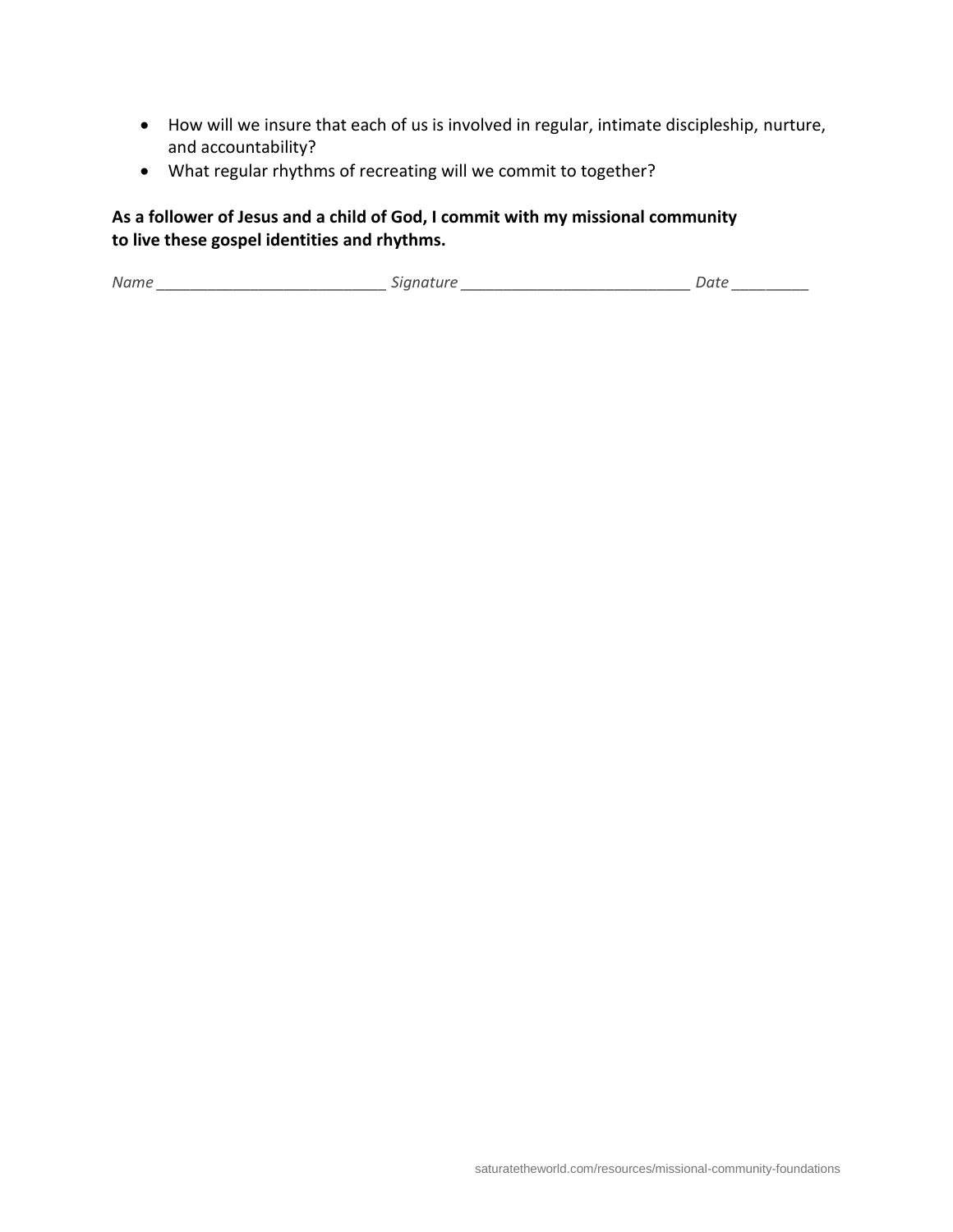- How will we insure that each of us is involved in regular, intimate discipleship, nurture, and accountability?
- What regular rhythms of recreating will we commit to together?

# **As a follower of Jesus and a child of God, I commit with my missional community to live these gospel identities and rhythms.**

*Name \_\_\_\_\_\_\_\_\_\_\_\_\_\_\_\_\_\_\_\_\_\_\_\_\_\_\_ Signature \_\_\_\_\_\_\_\_\_\_\_\_\_\_\_\_\_\_\_\_\_\_\_\_\_\_\_ Date \_\_\_\_\_\_\_\_\_*